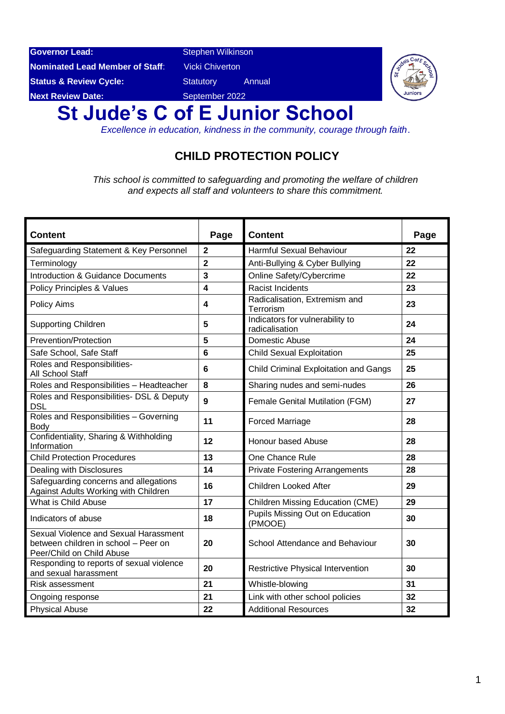**Governor Lead:** Stephen Wilkinson

**Nominated Lead Member of Staff:** Vicki Chiverton

**Next Review Date:** September 2022

**Status & Review Cycle: Statutory** Annual



# **St Jude's C of E Junior School**

*Excellence in education, kindness in the community, courage through faith*.

# **CHILD PROTECTION POLICY**

*This school is committed to safeguarding and promoting the welfare of children and expects all staff and volunteers to share this commitment.*

| <b>Content</b>                                                                                             | Page                    | <b>Content</b>                                    | Page |
|------------------------------------------------------------------------------------------------------------|-------------------------|---------------------------------------------------|------|
| Safeguarding Statement & Key Personnel                                                                     | $\overline{\mathbf{2}}$ | <b>Harmful Sexual Behaviour</b>                   | 22   |
| Terminology                                                                                                | $\overline{2}$          | Anti-Bullying & Cyber Bullying                    | 22   |
| <b>Introduction &amp; Guidance Documents</b>                                                               | 3                       | Online Safety/Cybercrime                          | 22   |
| Policy Principles & Values                                                                                 | $\overline{\mathbf{4}}$ | <b>Racist Incidents</b>                           | 23   |
| Policy Aims                                                                                                | 4                       | Radicalisation, Extremism and<br>Terrorism        | 23   |
| <b>Supporting Children</b>                                                                                 | 5                       | Indicators for vulnerability to<br>radicalisation | 24   |
| Prevention/Protection                                                                                      | 5                       | Domestic Abuse                                    | 24   |
| Safe School, Safe Staff                                                                                    | $6\phantom{1}6$         | <b>Child Sexual Exploitation</b>                  | 25   |
| Roles and Responsibilities-<br>All School Staff                                                            | $6\phantom{1}6$         | Child Criminal Exploitation and Gangs             | 25   |
| Roles and Responsibilities - Headteacher                                                                   | 8                       | Sharing nudes and semi-nudes                      | 26   |
| Roles and Responsibilities- DSL & Deputy<br><b>DSL</b>                                                     | $\overline{9}$          | Female Genital Mutilation (FGM)                   | 27   |
| Roles and Responsibilities - Governing<br><b>Body</b>                                                      | 11                      | <b>Forced Marriage</b>                            | 28   |
| Confidentiality, Sharing & Withholding<br>Information                                                      | 12                      | Honour based Abuse                                | 28   |
| <b>Child Protection Procedures</b>                                                                         | 13                      | One Chance Rule                                   | 28   |
| Dealing with Disclosures                                                                                   | 14                      | <b>Private Fostering Arrangements</b>             | 28   |
| Safeguarding concerns and allegations<br>Against Adults Working with Children                              | 16                      | <b>Children Looked After</b>                      | 29   |
| What is Child Abuse                                                                                        | 17                      | Children Missing Education (CME)                  | 29   |
| Indicators of abuse                                                                                        | 18                      | <b>Pupils Missing Out on Education</b><br>(PMOOE) | 30   |
| Sexual Violence and Sexual Harassment<br>between children in school - Peer on<br>Peer/Child on Child Abuse | 20                      | School Attendance and Behaviour                   | 30   |
| Responding to reports of sexual violence<br>and sexual harassment                                          | 20                      | Restrictive Physical Intervention                 | 30   |
| <b>Risk assessment</b>                                                                                     | 21                      | Whistle-blowing                                   | 31   |
| Ongoing response                                                                                           | 21                      | Link with other school policies                   | 32   |
| <b>Physical Abuse</b>                                                                                      | 22                      | <b>Additional Resources</b>                       | 32   |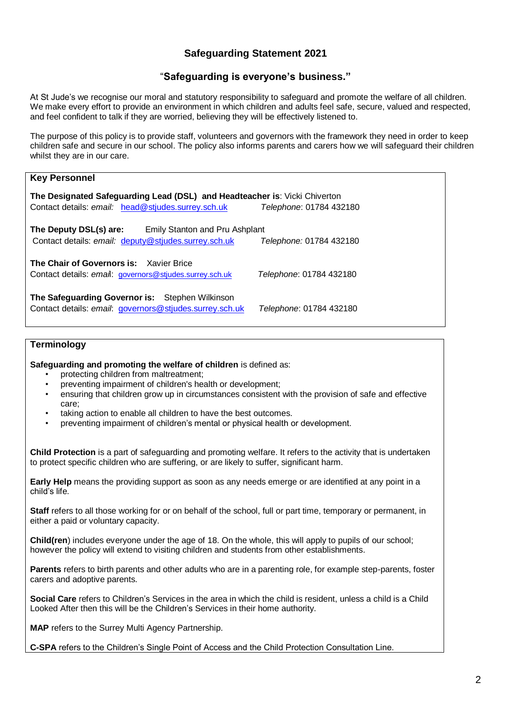### **Safeguarding Statement 2021**

### "**Safeguarding is everyone's business."**

At St Jude's we recognise our moral and statutory responsibility to safeguard and promote the welfare of all children. We make every effort to provide an environment in which children and adults feel safe, secure, valued and respected, and feel confident to talk if they are worried, believing they will be effectively listened to.

The purpose of this policy is to provide staff, volunteers and governors with the framework they need in order to keep children safe and secure in our school. The policy also informs parents and carers how we will safeguard their children whilst they are in our care.

| <b>Key Personnel</b>                                                                                                                                        |                         |
|-------------------------------------------------------------------------------------------------------------------------------------------------------------|-------------------------|
| The Designated Safeguarding Lead (DSL) and Headteacher is: Vicki Chiverton<br>Contact details: email: head@stjudes.surrey.sch.uk<br>Telephone: 01784 432180 |                         |
| The Deputy DSL(s) are:<br>Emily Stanton and Pru Ashplant<br>Contact details: email: deputy@stjudes.surrey.sch.uk                                            | Telephone: 01784 432180 |
| <b>The Chair of Governors is: Xavier Brice</b><br>Contact details: email: governors@stjudes.surrey.sch.uk                                                   | Telephone: 01784 432180 |
| The Safeguarding Governor is: Stephen Wilkinson<br>Contact details: email: governors@stjudes.surrey.sch.uk                                                  | Telephone: 01784 432180 |

#### **Terminology**

**Safeguarding and promoting the welfare of children** is defined as:

- protecting children from maltreatment;
- preventing impairment of children's health or development;
- ensuring that children grow up in circumstances consistent with the provision of safe and effective care;
- taking action to enable all children to have the best outcomes.
- preventing impairment of children's mental or physical health or development.

**Child Protection** is a part of safeguarding and promoting welfare. It refers to the activity that is undertaken to protect specific children who are suffering, or are likely to suffer, significant harm.

**Early Help** means the providing support as soon as any needs emerge or are identified at any point in a child's life.

**Staff** refers to all those working for or on behalf of the school, full or part time, temporary or permanent, in either a paid or voluntary capacity.

**Child(ren**) includes everyone under the age of 18. On the whole, this will apply to pupils of our school; however the policy will extend to visiting children and students from other establishments.

**Parents** refers to birth parents and other adults who are in a parenting role, for example step-parents, foster carers and adoptive parents.

**Social Care** refers to Children's Services in the area in which the child is resident, unless a child is a Child Looked After then this will be the Children's Services in their home authority.

**MAP** refers to the Surrey Multi Agency Partnership.

**C-SPA** refers to the Children's Single Point of Access and the Child Protection Consultation Line.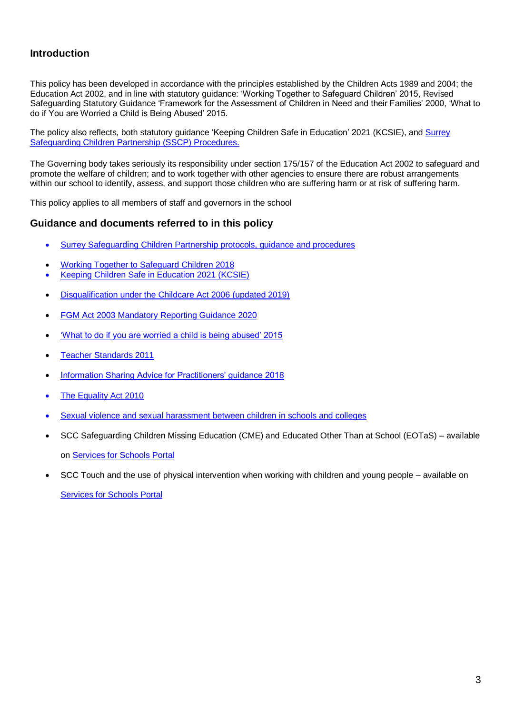### **Introduction**

This policy has been developed in accordance with the principles established by the Children Acts 1989 and 2004; the Education Act 2002, and in line with statutory guidance: 'Working Together to Safeguard Children' 2015, Revised Safeguarding Statutory Guidance 'Framework for the Assessment of Children in Need and their Families' 2000, 'What to do if You are Worried a Child is Being Abused' 2015.

The policy also reflects, both statutory guidance 'Keeping Children Safe in Education' 2021 (KCSIE), and Surrey [Safeguarding Children Partnership \(SSCP\) Procedures.](https://www.surreyscp.org.uk/)

The Governing body takes seriously its responsibility under section 175/157 of the Education Act 2002 to safeguard and promote the welfare of children; and to work together with other agencies to ensure there are robust arrangements within our school to identify, assess, and support those children who are suffering harm or at risk of suffering harm.

This policy applies to all members of staff and governors in the school

#### **Guidance and documents referred to in this policy**

- [Surrey Safeguarding Children Partnership protocols, guidance and procedures](https://www.surreyscp.org.uk/)
- [Working Together to Safeguard Children 2018](https://www.gov.uk/government/publications/working-together-to-safeguard-children--2)
- [Keeping Children Safe in Education 2021 \(KCSIE\)](https://www.gov.uk/government/publications/keeping-children-safe-in-education--2)
- [Disqualification under the Childcare Act 2006 \(updated 2019\)](https://www.gov.uk/government/publications/disqualification-under-the-childcare-act-2006/disqualification-under-the-childcare-act-2006)
- [FGM Act 2003 Mandatory Reporting Guidance 2020](https://www.gov.uk/government/publications/mandatory-reporting-of-female-genital-mutilation-procedural-information)
- ['What to do if you are worried a child is being abused' 2015](https://assets.publishing.service.gov.uk/government/uploads/system/uploads/attachment_data/file/419604/What_to_do_if_you_re_worried_a_child_is_being_abused.pdf)
- [Teacher Standards 2011](https://www.gov.uk/government/publications/teachers-standards)
- [Information Sharing Advice for Practitioners' guidance 2018](https://www.gov.uk/government/publications/safeguarding-practitioners-information-sharing-advice)
- [The Equality Act 2010](https://www.gov.uk/guidance/equality-act-2010-guidance)
- [Sexual violence and sexual harassment between children in schools and colleges](https://www.gov.uk/government/publications/sexual-violence-and-sexual-harassment-between-children-in-schools-and-colleges?utm_medium=email&utm_campaign=govuk-notifications&utm_source=6bc91204-ff8f-4da0-ac2c-2191bb2d1b16&utm_content=daily)
- SCC Safeguarding Children Missing Education (CME) and Educated Other Than at School (EOTaS) available on [Services for Schools Portal](https://servicesforschools.surreycc.gov.uk/)
- SCC Touch and the use of physical intervention when working with children and young people available on [Services for Schools Portal](https://servicesforschools.surreycc.gov.uk/)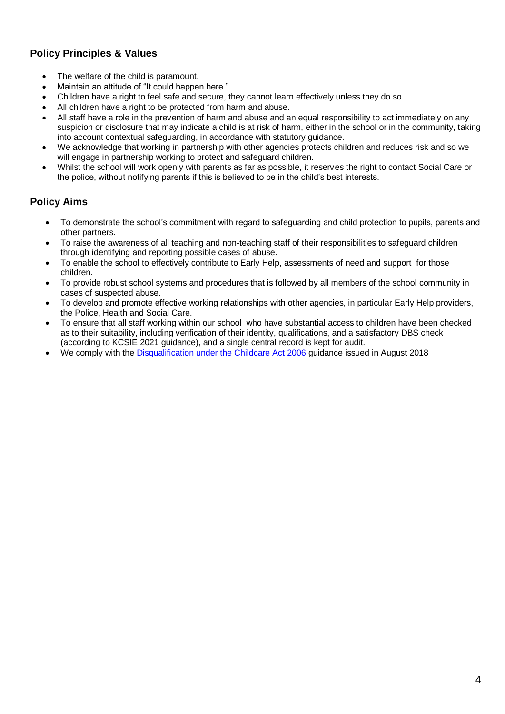# **Policy Principles & Values**

- The welfare of the child is paramount.
- Maintain an attitude of "It could happen here."
- Children have a right to feel safe and secure, they cannot learn effectively unless they do so.
- All children have a right to be protected from harm and abuse.
- All staff have a role in the prevention of harm and abuse and an equal responsibility to act immediately on any suspicion or disclosure that may indicate a child is at risk of harm, either in the school or in the community, taking into account contextual safeguarding, in accordance with statutory guidance.
- We acknowledge that working in partnership with other agencies protects children and reduces risk and so we will engage in partnership working to protect and safeguard children.
- Whilst the school will work openly with parents as far as possible, it reserves the right to contact Social Care or the police, without notifying parents if this is believed to be in the child's best interests.

### **Policy Aims**

- To demonstrate the school's commitment with regard to safeguarding and child protection to pupils, parents and other partners.
- To raise the awareness of all teaching and non-teaching staff of their responsibilities to safeguard children through identifying and reporting possible cases of abuse.
- To enable the school to effectively contribute to Early Help, assessments of need and support for those children.
- To provide robust school systems and procedures that is followed by all members of the school community in cases of suspected abuse.
- To develop and promote effective working relationships with other agencies, in particular Early Help providers, the Police, Health and Social Care.
- To ensure that all staff working within our school who have substantial access to children have been checked as to their suitability, including verification of their identity, qualifications, and a satisfactory DBS check (according to KCSIE 2021 guidance), and a single central record is kept for audit.
- We comply with the [Disqualification under the Childcare Act 2006](https://www.gov.uk/government/publications/disqualification-under-the-childcare-act-2006/disqualification-under-the-childcare-act-2006) guidance issued in August 2018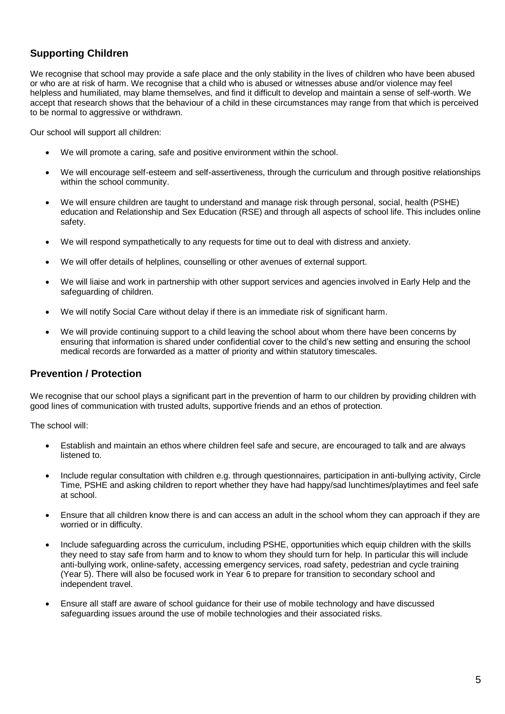# **Supporting Children**

We recognise that school may provide a safe place and the only stability in the lives of children who have been abused or who are at risk of harm. We recognise that a child who is abused or witnesses abuse and/or violence may feel helpless and humiliated, may blame themselves, and find it difficult to develop and maintain a sense of self-worth. We accept that research shows that the behaviour of a child in these circumstances may range from that which is perceived to be normal to aggressive or withdrawn.

Our school will support all children:

- We will promote a caring, safe and positive environment within the school.
- We will encourage self-esteem and self-assertiveness, through the curriculum and through positive relationships within the school community.
- We will ensure children are taught to understand and manage risk through personal, social, health (PSHE) education and Relationship and Sex Education (RSE) and through all aspects of school life. This includes online safety.
- We will respond sympathetically to any requests for time out to deal with distress and anxiety.
- We will offer details of helplines, counselling or other avenues of external support.
- We will liaise and work in partnership with other support services and agencies involved in Early Help and the safeguarding of children.
- We will notify Social Care without delay if there is an immediate risk of significant harm.
- We will provide continuing support to a child leaving the school about whom there have been concerns by ensuring that information is shared under confidential cover to the child's new setting and ensuring the school medical records are forwarded as a matter of priority and within statutory timescales.

### **Prevention / Protection**

We recognise that our school plays a significant part in the prevention of harm to our children by providing children with good lines of communication with trusted adults, supportive friends and an ethos of protection.

The school will:

- Establish and maintain an ethos where children feel safe and secure, are encouraged to talk and are always listened to.
- Include regular consultation with children e.g. through questionnaires, participation in anti-bullying activity, Circle Time, PSHE and asking children to report whether they have had happy/sad lunchtimes/playtimes and feel safe at school.
- Ensure that all children know there is and can access an adult in the school whom they can approach if they are worried or in difficulty.
- Include safeguarding across the curriculum, including PSHE, opportunities which equip children with the skills they need to stay safe from harm and to know to whom they should turn for help. In particular this will include anti-bullying work, online-safety, accessing emergency services, road safety, pedestrian and cycle training (Year 5). There will also be focused work in Year 6 to prepare for transition to secondary school and independent travel.
- Ensure all staff are aware of school guidance for their use of mobile technology and have discussed safeguarding issues around the use of mobile technologies and their associated risks.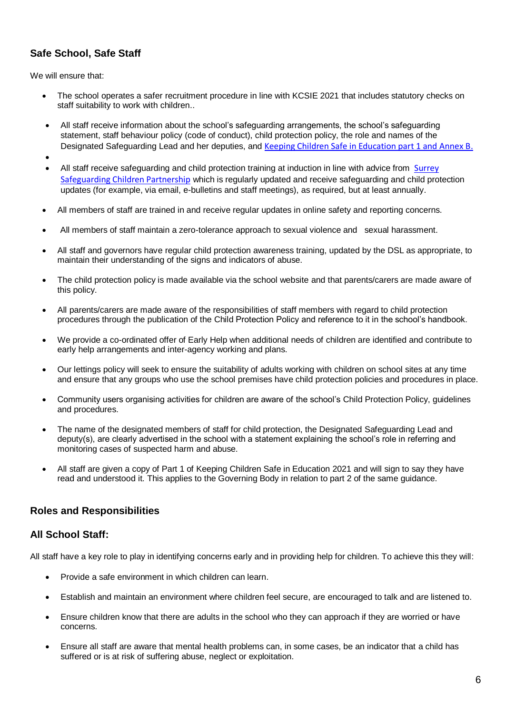# **Safe School, Safe Staff**

We will ensure that:

- The school operates a safer recruitment procedure in line with KCSIE 2021 that includes statutory checks on staff suitability to work with children..
- All staff receive information about the school's safeguarding arrangements, the school's safeguarding statement, staff behaviour policy (code of conduct), child protection policy, the role and names of the Designated Safeguarding Lead and her deputies, and [Keeping Children Safe in Education part 1 and Annex B.](https://www.gov.uk/government/publications/keeping-children-safe-in-education--2)
- •
- All staff receive safeguarding and child protection training at induction in line with advice from [Surrey](https://www.surreyscp.org.uk/)  [Safeguarding Children Partnership](https://www.surreyscp.org.uk/) which is regularly updated and receive safeguarding and child protection updates (for example, via email, e-bulletins and staff meetings), as required, but at least annually.
- All members of staff are trained in and receive regular updates in online safety and reporting concerns.
- All members of staff maintain a zero-tolerance approach to sexual violence and sexual harassment.
- All staff and governors have regular child protection awareness training, updated by the DSL as appropriate, to maintain their understanding of the signs and indicators of abuse.
- The child protection policy is made available via the school website and that parents/carers are made aware of this policy.
- All parents/carers are made aware of the responsibilities of staff members with regard to child protection procedures through the publication of the Child Protection Policy and reference to it in the school's handbook.
- We provide a co-ordinated offer of Early Help when additional needs of children are identified and contribute to early help arrangements and inter-agency working and plans.
- Our lettings policy will seek to ensure the suitability of adults working with children on school sites at any time and ensure that any groups who use the school premises have child protection policies and procedures in place.
- Community users organising activities for children are aware of the school's Child Protection Policy, guidelines and procedures.
- The name of the designated members of staff for child protection, the Designated Safeguarding Lead and deputy(s), are clearly advertised in the school with a statement explaining the school's role in referring and monitoring cases of suspected harm and abuse.
- All staff are given a copy of Part 1 of Keeping Children Safe in Education 2021 and will sign to say they have read and understood it. This applies to the Governing Body in relation to part 2 of the same guidance.

### **Roles and Responsibilities**

### **All School Staff:**

All staff have a key role to play in identifying concerns early and in providing help for children. To achieve this they will:

- Provide a safe environment in which children can learn.
- Establish and maintain an environment where children feel secure, are encouraged to talk and are listened to.
- Ensure children know that there are adults in the school who they can approach if they are worried or have concerns.
- Ensure all staff are aware that mental health problems can, in some cases, be an indicator that a child has suffered or is at risk of suffering abuse, neglect or exploitation.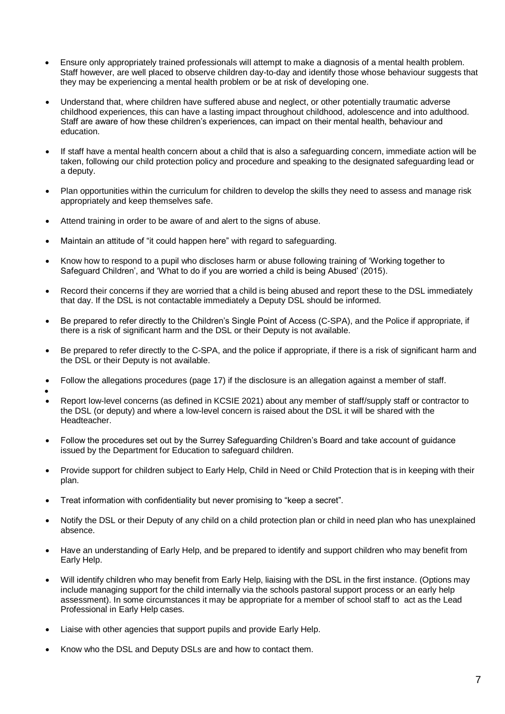- Ensure only appropriately trained professionals will attempt to make a diagnosis of a mental health problem. Staff however, are well placed to observe children day-to-day and identify those whose behaviour suggests that they may be experiencing a mental health problem or be at risk of developing one.
- Understand that, where children have suffered abuse and neglect, or other potentially traumatic adverse childhood experiences, this can have a lasting impact throughout childhood, adolescence and into adulthood. Staff are aware of how these children's experiences, can impact on their mental health, behaviour and education.
- If staff have a mental health concern about a child that is also a safeguarding concern, immediate action will be taken, following our child protection policy and procedure and speaking to the designated safeguarding lead or a deputy.
- Plan opportunities within the curriculum for children to develop the skills they need to assess and manage risk appropriately and keep themselves safe.
- Attend training in order to be aware of and alert to the signs of abuse.
- Maintain an attitude of "it could happen here" with regard to safeguarding.
- Know how to respond to a pupil who discloses harm or abuse following training of 'Working together to Safeguard Children', and 'What to do if you are worried a child is being Abused' (2015).
- Record their concerns if they are worried that a child is being abused and report these to the DSL immediately that day. If the DSL is not contactable immediately a Deputy DSL should be informed.
- Be prepared to refer directly to the Children's Single Point of Access (C-SPA), and the Police if appropriate, if there is a risk of significant harm and the DSL or their Deputy is not available.
- Be prepared to refer directly to the C-SPA, and the police if appropriate, if there is a risk of significant harm and the DSL or their Deputy is not available.
- Follow the allegations procedures (page 17) if the disclosure is an allegation against a member of staff.
- •
- Report low-level concerns (as defined in KCSIE 2021) about any member of staff/supply staff or contractor to the DSL (or deputy) and where a low-level concern is raised about the DSL it will be shared with the Headteacher.
- Follow the procedures set out by the Surrey Safeguarding Children's Board and take account of guidance issued by the Department for Education to safeguard children.
- Provide support for children subject to Early Help, Child in Need or Child Protection that is in keeping with their plan.
- Treat information with confidentiality but never promising to "keep a secret".
- Notify the DSL or their Deputy of any child on a child protection plan or child in need plan who has unexplained absence.
- Have an understanding of Early Help, and be prepared to identify and support children who may benefit from Early Help.
- Will identify children who may benefit from Early Help, liaising with the DSL in the first instance. (Options may include managing support for the child internally via the schools pastoral support process or an early help assessment). In some circumstances it may be appropriate for a member of school staff to act as the Lead Professional in Early Help cases.
- Liaise with other agencies that support pupils and provide Early Help.
- Know who the DSL and Deputy DSLs are and how to contact them.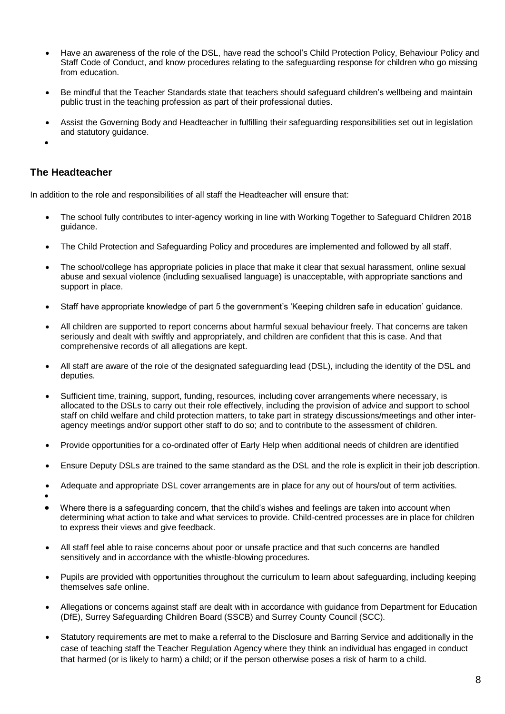- Have an awareness of the role of the DSL, have read the school's Child Protection Policy, Behaviour Policy and Staff Code of Conduct, and know procedures relating to the safeguarding response for children who go missing from education
- Be mindful that the Teacher Standards state that teachers should safeguard children's wellbeing and maintain public trust in the teaching profession as part of their professional duties.
- Assist the Governing Body and Headteacher in fulfilling their safeguarding responsibilities set out in legislation and statutory guidance.
- •

### **The Headteacher**

In addition to the role and responsibilities of all staff the Headteacher will ensure that:

- The school fully contributes to inter-agency working in line with Working Together to Safeguard Children 2018 guidance.
- The Child Protection and Safeguarding Policy and procedures are implemented and followed by all staff.
- The school/college has appropriate policies in place that make it clear that sexual harassment, online sexual abuse and sexual violence (including sexualised language) is unacceptable, with appropriate sanctions and support in place.
- Staff have appropriate knowledge of part 5 the government's 'Keeping children safe in education' guidance.
- All children are supported to report concerns about harmful sexual behaviour freely. That concerns are taken seriously and dealt with swiftly and appropriately, and children are confident that this is case. And that comprehensive records of all allegations are kept.
- All staff are aware of the role of the designated safeguarding lead (DSL), including the identity of the DSL and deputies.
- Sufficient time, training, support, funding, resources, including cover arrangements where necessary, is allocated to the DSLs to carry out their role effectively, including the provision of advice and support to school staff on child welfare and child protection matters, to take part in strategy discussions/meetings and other interagency meetings and/or support other staff to do so; and to contribute to the assessment of children.
- Provide opportunities for a co-ordinated offer of Early Help when additional needs of children are identified
- Ensure Deputy DSLs are trained to the same standard as the DSL and the role is explicit in their job description.
- Adequate and appropriate DSL cover arrangements are in place for any out of hours/out of term activities.
- •
- Where there is a safeguarding concern, that the child's wishes and feelings are taken into account when determining what action to take and what services to provide. Child-centred processes are in place for children to express their views and give feedback.
- All staff feel able to raise concerns about poor or unsafe practice and that such concerns are handled sensitively and in accordance with the whistle-blowing procedures.
- Pupils are provided with opportunities throughout the curriculum to learn about safeguarding, including keeping themselves safe online.
- Allegations or concerns against staff are dealt with in accordance with guidance from Department for Education (DfE), Surrey Safeguarding Children Board (SSCB) and Surrey County Council (SCC).
- Statutory requirements are met to make a referral to the Disclosure and Barring Service and additionally in the case of teaching staff the Teacher Regulation Agency where they think an individual has engaged in conduct that harmed (or is likely to harm) a child; or if the person otherwise poses a risk of harm to a child.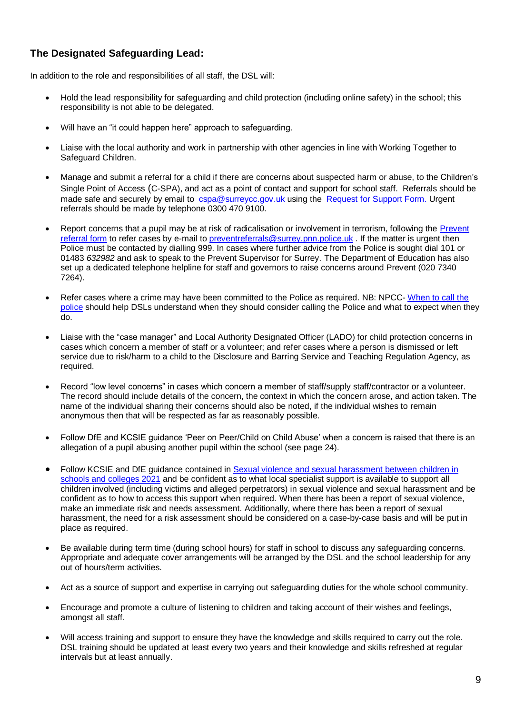# **The Designated Safeguarding Lead:**

In addition to the role and responsibilities of all staff, the DSL will:

- Hold the lead responsibility for safeguarding and child protection (including online safety) in the school; this responsibility is not able to be delegated.
- Will have an "it could happen here" approach to safeguarding.
- Liaise with the local authority and work in partnership with other agencies in line with Working Together to Safeguard Children.
- Manage and submit a referral for a child if there are concerns about suspected harm or abuse, to the Children's Single Point of Access (C-SPA), and act as a point of contact and support for school staff. Referrals should be made safe and securely by email to [cspa@surreycc.gov.uk](mailto:cspa@surreycc.gov.uk) using th[e](https://www.surreyscb.org.uk/resources-category/sscbmultiagencyforms/) [Request for Support Form.](https://www.surreyscp.org.uk/documents/surrey-childrens-services-request-for-support-form/) Urgent referrals should be made by telephone 0300 470 9100.
- Report concerns that a pupil may be at risk of radicalisation or involvement in terrorism, following the [Prevent](https://www.surreyscp.org.uk/documents/prevent-referral-form/)  [referral form](https://www.surreyscp.org.uk/documents/prevent-referral-form/) to refer cases by e-mail t[o preventreferrals@surrey.pnn.police.uk](mailto:preventreferrals@surrey.pnn.police.uk) . If the matter is urgent then Police must be contacted by dialling 999. In cases where further advice from the Police is sought dial 101 or 01483 *632982* and ask to speak to the Prevent Supervisor for Surrey. The Department of Education has also set up a dedicated telephone helpline for staff and governors to raise concerns around Prevent (020 7340 7264).
- Refer cases where a crime may have been committed to the Police as required. NB: NPCC- [When to call the](https://www.npcc.police.uk/documents/Children%20and%20Young%20people/When%20to%20call%20the%20police%20guidance%20for%20schools%20and%20colleges.pdf)  [police](https://www.npcc.police.uk/documents/Children%20and%20Young%20people/When%20to%20call%20the%20police%20guidance%20for%20schools%20and%20colleges.pdf) should help DSLs understand when they should consider calling the Police and what to expect when they do.
- Liaise with the "case manager" and Local Authority Designated Officer (LADO) for child protection concerns in cases which concern a member of staff or a volunteer; and refer cases where a person is dismissed or left service due to risk/harm to a child to the Disclosure and Barring Service and Teaching Regulation Agency, as required.
- Record "low level concerns" in cases which concern a member of staff/supply staff/contractor or a volunteer. The record should include details of the concern, the context in which the concern arose, and action taken. The name of the individual sharing their concerns should also be noted, if the individual wishes to remain anonymous then that will be respected as far as reasonably possible.
- Follow DfE and KCSIE guidance 'Peer on Peer/Child on Child Abuse' when a concern is raised that there is an allegation of a pupil abusing another pupil within the school (see page 24).
- Follow KCSIE and DfE guidance contained in [Sexual violence and sexual harassment between children in](https://www.gov.uk/government/publications/sexual-violence-and-sexual-harassment-between-children-in-schools-and-collegesBe)  [schools and colleges 2021](https://www.gov.uk/government/publications/sexual-violence-and-sexual-harassment-between-children-in-schools-and-collegesBe) and be confident as to what local specialist support is available to support all children involved (including victims and alleged perpetrators) in sexual violence and sexual harassment and be confident as to how to access this support when required. When there has been a report of sexual violence, make an immediate risk and needs assessment. Additionally, where there has been a report of sexual harassment, the need for a risk assessment should be considered on a case-by-case basis and will be put in place as required.
- Be available during term time (during school hours) for staff in school to discuss any safeguarding concerns. Appropriate and adequate cover arrangements will be arranged by the DSL and the school leadership for any out of hours/term activities.
- Act as a source of support and expertise in carrying out safeguarding duties for the whole school community.
- Encourage and promote a culture of listening to children and taking account of their wishes and feelings, amongst all staff.
- Will access training and support to ensure they have the knowledge and skills required to carry out the role. DSL training should be updated at least every two years and their knowledge and skills refreshed at regular intervals but at least annually.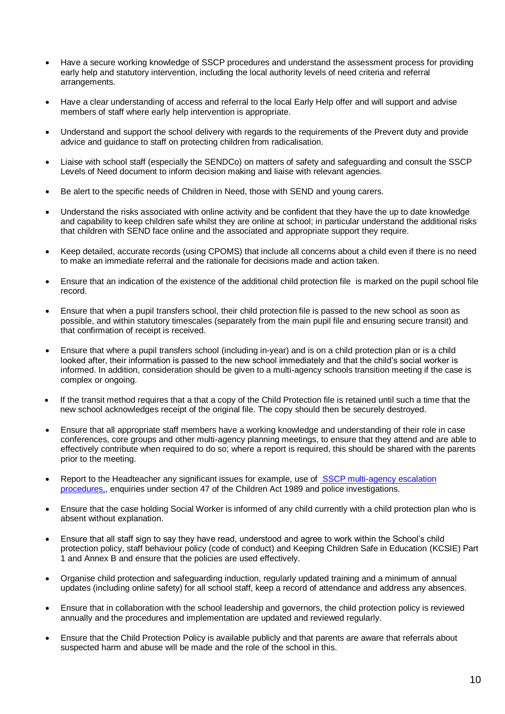- Have a secure working knowledge of SSCP procedures and understand the assessment process for providing early help and statutory intervention, including the local authority levels of need criteria and referral arrangements.
- Have a clear understanding of access and referral to the local Early Help offer and will support and advise members of staff where early help intervention is appropriate.
- Understand and support the school delivery with regards to the requirements of the Prevent duty and provide advice and guidance to staff on protecting children from radicalisation.
- Liaise with school staff (especially the SENDCo) on matters of safety and safeguarding and consult the SSCP Levels of Need document to inform decision making and liaise with relevant agencies.
- Be alert to the specific needs of Children in Need, those with SEND and young carers.
- Understand the risks associated with online activity and be confident that they have the up to date knowledge and capability to keep children safe whilst they are online at school; in particular understand the additional risks that children with SEND face online and the associated and appropriate support they require.
- Keep detailed, accurate records (using CPOMS) that include all concerns about a child even if there is no need to make an immediate referral and the rationale for decisions made and action taken.
- Ensure that an indication of the existence of the additional child protection file is marked on the pupil school file record.
- Ensure that when a pupil transfers school, their child protection file is passed to the new school as soon as possible, and within statutory timescales (separately from the main pupil file and ensuring secure transit) and that confirmation of receipt is received.
- Ensure that where a pupil transfers school (including in-year) and is on a child protection plan or is a child looked after, their information is passed to the new school immediately and that the child's social worker is informed. In addition, consideration should be given to a multi-agency schools transition meeting if the case is complex or ongoing.
- If the transit method requires that a that a copy of the Child Protection file is retained until such a time that the new school acknowledges receipt of the original file. The copy should then be securely destroyed.
- Ensure that all appropriate staff members have a working knowledge and understanding of their role in case conferences, core groups and other multi-agency planning meetings, to ensure that they attend and are able to effectively contribute when required to do so; where a report is required, this should be shared with the parents prior to the meeting.
- Report to the Headteacher any significant issues for example, use of [SSCP multi-agency escalation](https://surreyscb.procedures.org.uk/skptp/complaints-and-disagreements/inter-agency-escalation-policy-and-procedure)  [procedures,,](https://surreyscb.procedures.org.uk/skptp/complaints-and-disagreements/inter-agency-escalation-policy-and-procedure) enquiries under section 47 of the Children Act 1989 and police investigations.
- Ensure that the case holding Social Worker is informed of any child currently with a child protection plan who is absent without explanation.
- Ensure that all staff sign to say they have read, understood and agree to work within the School's child protection policy, staff behaviour policy (code of conduct) and Keeping Children Safe in Education (KCSIE) Part 1 and Annex B and ensure that the policies are used effectively.
- Organise child protection and safeguarding induction, regularly updated training and a minimum of annual updates (including online safety) for all school staff, keep a record of attendance and address any absences.
- Ensure that in collaboration with the school leadership and governors, the child protection policy is reviewed annually and the procedures and implementation are updated and reviewed regularly.
- Ensure that the Child Protection Policy is available publicly and that parents are aware that referrals about suspected harm and abuse will be made and the role of the school in this.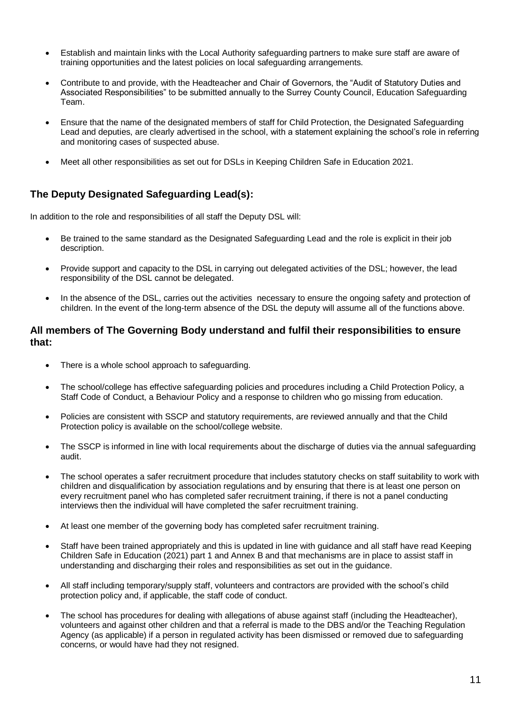- Establish and maintain links with the Local Authority safeguarding partners to make sure staff are aware of training opportunities and the latest policies on local safeguarding arrangements.
- Contribute to and provide, with the Headteacher and Chair of Governors, the "Audit of Statutory Duties and Associated Responsibilities" to be submitted annually to the Surrey County Council, Education Safeguarding Team.
- Ensure that the name of the designated members of staff for Child Protection, the Designated Safeguarding Lead and deputies, are clearly advertised in the school, with a statement explaining the school's role in referring and monitoring cases of suspected abuse.
- Meet all other responsibilities as set out for DSLs in Keeping Children Safe in Education 2021.

# **The Deputy Designated Safeguarding Lead(s):**

In addition to the role and responsibilities of all staff the Deputy DSL will:

- Be trained to the same standard as the Designated Safeguarding Lead and the role is explicit in their job description.
- Provide support and capacity to the DSL in carrying out delegated activities of the DSL; however, the lead responsibility of the DSL cannot be delegated.
- In the absence of the DSL, carries out the activities necessary to ensure the ongoing safety and protection of children. In the event of the long-term absence of the DSL the deputy will assume all of the functions above.

### **All members of The Governing Body understand and fulfil their responsibilities to ensure that:**

- There is a whole school approach to safeguarding.
- The school/college has effective safeguarding policies and procedures including a Child Protection Policy, a Staff Code of Conduct, a Behaviour Policy and a response to children who go missing from education.
- Policies are consistent with SSCP and statutory requirements, are reviewed annually and that the Child Protection policy is available on the school/college website.
- The SSCP is informed in line with local requirements about the discharge of duties via the annual safeguarding audit.
- The school operates a safer recruitment procedure that includes statutory checks on staff suitability to work with children and disqualification by association regulations and by ensuring that there is at least one person on every recruitment panel who has completed safer recruitment training, if there is not a panel conducting interviews then the individual will have completed the safer recruitment training.
- At least one member of the governing body has completed safer recruitment training.
- Staff have been trained appropriately and this is updated in line with guidance and all staff have read Keeping Children Safe in Education (2021) part 1 and Annex B and that mechanisms are in place to assist staff in understanding and discharging their roles and responsibilities as set out in the guidance.
- All staff including temporary/supply staff, volunteers and contractors are provided with the school's child protection policy and, if applicable, the staff code of conduct.
- The school has procedures for dealing with allegations of abuse against staff (including the Headteacher), volunteers and against other children and that a referral is made to the DBS and/or the Teaching Regulation Agency (as applicable) if a person in regulated activity has been dismissed or removed due to safeguarding concerns, or would have had they not resigned.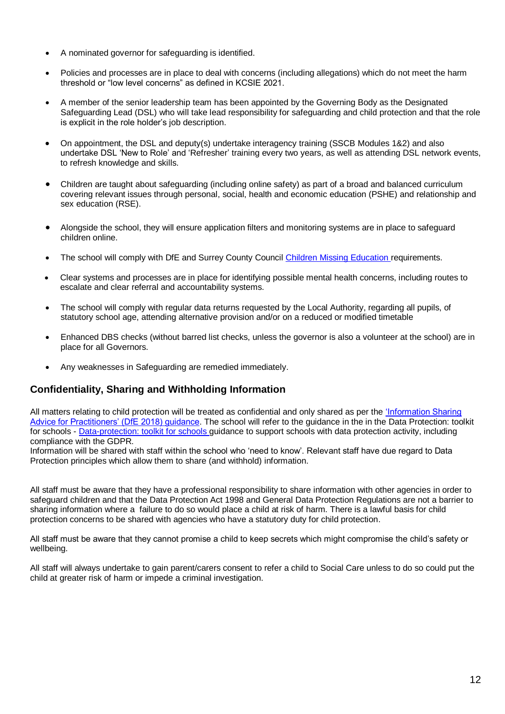- A nominated governor for safeguarding is identified.
- Policies and processes are in place to deal with concerns (including allegations) which do not meet the harm threshold or "low level concerns" as defined in KCSIE 2021.
- A member of the senior leadership team has been appointed by the Governing Body as the Designated Safeguarding Lead (DSL) who will take lead responsibility for safeguarding and child protection and that the role is explicit in the role holder's job description.
- On appointment, the DSL and deputy(s) undertake interagency training (SSCB Modules 1&2) and also undertake DSL 'New to Role' and 'Refresher' training every two years, as well as attending DSL network events, to refresh knowledge and skills.
- Children are taught about safeguarding (including online safety) as part of a broad and balanced curriculum covering relevant issues through personal, social, health and economic education (PSHE) and relationship and sex education (RSE).
- Alongside the school, they will ensure application filters and monitoring systems are in place to safeguard children online.
- The school will comply with DfE and Surrey County Council [Children Missing Education](https://www.surreycc.gov.uk/__data/assets/pdf_file/0005/109589/Final-CME-Policy-2017-ver-2-updated-nov17.pdf) requirements.
- Clear systems and processes are in place for identifying possible mental health concerns, including routes to escalate and clear referral and accountability systems.
- The school will comply with regular data returns requested by the Local Authority, regarding all pupils, of statutory school age, attending alternative provision and/or on a reduced or modified timetable
- Enhanced DBS checks (without barred list checks, unless the governor is also a volunteer at the school) are in place for all Governors.
- Any weaknesses in Safeguarding are remedied immediately.

### **Confidentiality, Sharing and Withholding Information**

All matters relating to child protection will be treated as confidential and only shared as per the ['Information Sharing](https://www.gov.uk/government/publications/safeguarding-practitioners-information-sharing-advice)  [Advice for Practitioners' \(DfE 2018\) guidance.](https://www.gov.uk/government/publications/safeguarding-practitioners-information-sharing-advice) The school will refer to the guidance in the in the Data Protection: toolkit for schools - [Data-protection: toolkit for schools](https://www.gov.uk/government/publications/data-protection-toolkit-for-schools) guidance to support schools with data protection activity, including compliance with the GDPR.

Information will be shared with staff within the school who 'need to know'. Relevant staff have due regard to Data Protection principles which allow them to share (and withhold) information.

All staff must be aware that they have a professional responsibility to share information with other agencies in order to safeguard children and that the Data Protection Act 1998 and General Data Protection Regulations are not a barrier to sharing information where a failure to do so would place a child at risk of harm. There is a lawful basis for child protection concerns to be shared with agencies who have a statutory duty for child protection.

All staff must be aware that they cannot promise a child to keep secrets which might compromise the child's safety or wellbeing.

All staff will always undertake to gain parent/carers consent to refer a child to Social Care unless to do so could put the child at greater risk of harm or impede a criminal investigation.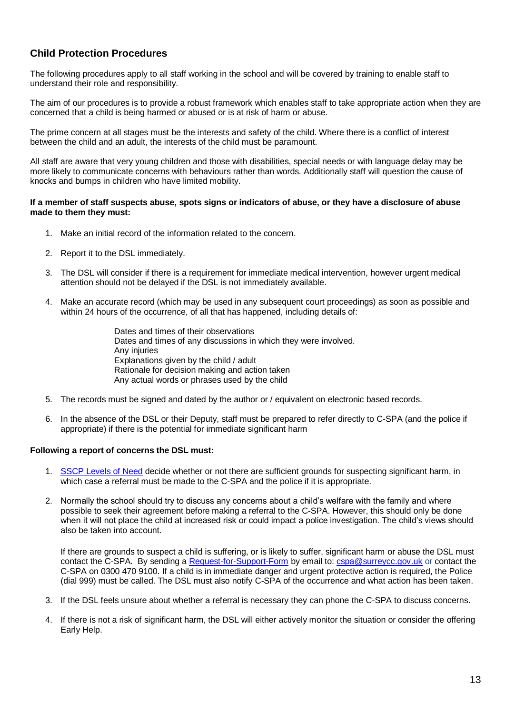# **Child Protection Procedures**

The following procedures apply to all staff working in the school and will be covered by training to enable staff to understand their role and responsibility.

The aim of our procedures is to provide a robust framework which enables staff to take appropriate action when they are concerned that a child is being harmed or abused or is at risk of harm or abuse.

The prime concern at all stages must be the interests and safety of the child. Where there is a conflict of interest between the child and an adult, the interests of the child must be paramount.

All staff are aware that very young children and those with disabilities, special needs or with language delay may be more likely to communicate concerns with behaviours rather than words. Additionally staff will question the cause of knocks and bumps in children who have limited mobility.

#### **If a member of staff suspects abuse, spots signs or indicators of abuse, or they have a disclosure of abuse made to them they must:**

- 1. Make an initial record of the information related to the concern.
- 2. Report it to the DSL immediately.
- 3. The DSL will consider if there is a requirement for immediate medical intervention, however urgent medical attention should not be delayed if the DSL is not immediately available.
- 4. Make an accurate record (which may be used in any subsequent court proceedings) as soon as possible and within 24 hours of the occurrence, of all that has happened, including details of:
	- Dates and times of their observations Dates and times of any discussions in which they were involved. Any injuries Explanations given by the child / adult Rationale for decision making and action taken Any actual words or phrases used by the child
- 5. The records must be signed and dated by the author or / equivalent on electronic based records.
- 6. In the absence of the DSL or their Deputy, staff must be prepared to refer directly to C-SPA (and the police if appropriate) if there is the potential for immediate significant harm

#### **Following a report of concerns the DSL must:**

- 1. [SSCP Levels of Need](https://www.surreyscp.org.uk/about-us/local-safeguarding-arrangements/effective-family-resilience-levels-of-need/) decide whether or not there are sufficient grounds for suspecting significant harm, in which case a referral must be made to the C-SPA and the police if it is appropriate.
- 2. Normally the school should try to discuss any concerns about a child's welfare with the family and where possible to seek their agreement before making a referral to the C-SPA. However, this should only be done when it will not place the child at increased risk or could impact a police investigation. The child's views should also be taken into account.

If there are grounds to suspect a child is suffering, or is likely to suffer, significant harm or abuse the DSL must contact the C-SPA. By sending [a Request-for-Support-Form](https://www.surreyscp.org.uk/wp-content/uploads/2020/09/Surrey-Childrens-Services-Request-for-Support-Form-May-2020.doc) by email to[: cspa@surreycc.gov.uk](mailto:cspa@surreycc.gov.uk) or contact the C-SPA on 0300 470 9100. If a child is in immediate danger and urgent protective action is required, the Police (dial 999) must be called. The DSL must also notify C-SPA of the occurrence and what action has been taken.

- 3. If the DSL feels unsure about whether a referral is necessary they can phone the C-SPA to discuss concerns.
- 4. If there is not a risk of significant harm, the DSL will either actively monitor the situation or consider the offering Early Help.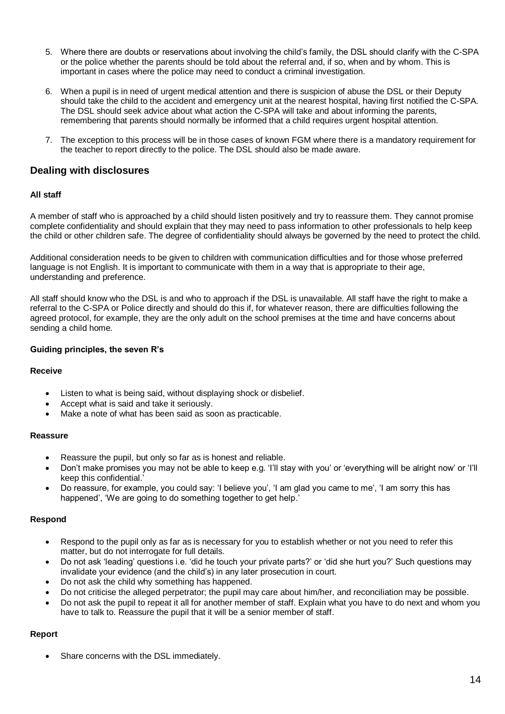- 5. Where there are doubts or reservations about involving the child's family, the DSL should clarify with the C-SPA or the police whether the parents should be told about the referral and, if so, when and by whom. This is important in cases where the police may need to conduct a criminal investigation.
- 6. When a pupil is in need of urgent medical attention and there is suspicion of abuse the DSL or their Deputy should take the child to the accident and emergency unit at the nearest hospital, having first notified the C-SPA. The DSL should seek advice about what action the C-SPA will take and about informing the parents, remembering that parents should normally be informed that a child requires urgent hospital attention.
- 7. The exception to this process will be in those cases of known FGM where there is a mandatory requirement for the teacher to report directly to the police. The DSL should also be made aware.

### **Dealing with disclosures**

#### **All staff**

A member of staff who is approached by a child should listen positively and try to reassure them. They cannot promise complete confidentiality and should explain that they may need to pass information to other professionals to help keep the child or other children safe. The degree of confidentiality should always be governed by the need to protect the child.

Additional consideration needs to be given to children with communication difficulties and for those whose preferred language is not English. It is important to communicate with them in a way that is appropriate to their age, understanding and preference.

All staff should know who the DSL is and who to approach if the DSL is unavailable. All staff have the right to make a referral to the C-SPA or Police directly and should do this if, for whatever reason, there are difficulties following the agreed protocol, for example, they are the only adult on the school premises at the time and have concerns about sending a child home.

#### **Guiding principles, the seven R's**

#### **Receive**

- Listen to what is being said, without displaying shock or disbelief.
- Accept what is said and take it seriously.
- Make a note of what has been said as soon as practicable.

#### **Reassure**

- Reassure the pupil, but only so far as is honest and reliable.
- Don't make promises you may not be able to keep e.g. 'I'll stay with you' or 'everything will be alright now' or 'I'll keep this confidential.'
- Do reassure, for example, you could say: 'I believe you', 'I am glad you came to me', 'I am sorry this has happened', 'We are going to do something together to get help.'

#### **Respond**

- Respond to the pupil only as far as is necessary for you to establish whether or not you need to refer this matter, but do not interrogate for full details.
- Do not ask 'leading' questions i.e. 'did he touch your private parts?' or 'did she hurt you?' Such questions may invalidate your evidence (and the child's) in any later prosecution in court.
- Do not ask the child why something has happened.
- Do not criticise the alleged perpetrator; the pupil may care about him/her, and reconciliation may be possible.
- Do not ask the pupil to repeat it all for another member of staff. Explain what you have to do next and whom you have to talk to. Reassure the pupil that it will be a senior member of staff.

#### **Report**

Share concerns with the DSL immediately.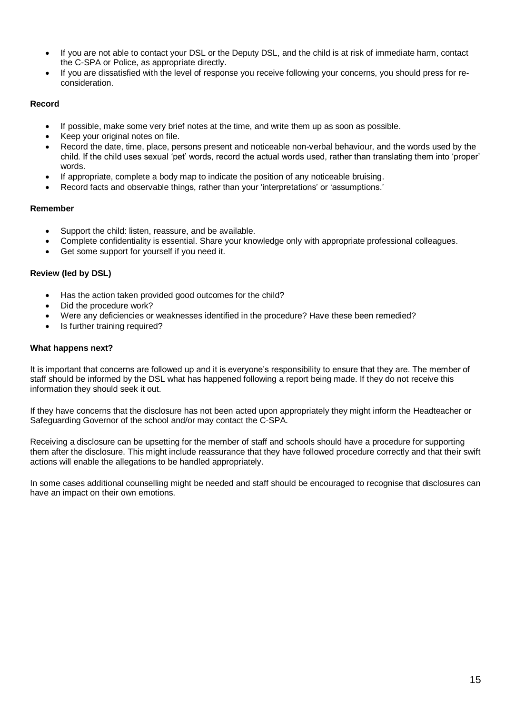- If you are not able to contact your DSL or the Deputy DSL, and the child is at risk of immediate harm, contact the C-SPA or Police, as appropriate directly.
- If you are dissatisfied with the level of response you receive following your concerns, you should press for reconsideration.

#### **Record**

- If possible, make some very brief notes at the time, and write them up as soon as possible.
- Keep your original notes on file.
- Record the date, time, place, persons present and noticeable non-verbal behaviour, and the words used by the child. If the child uses sexual 'pet' words, record the actual words used, rather than translating them into 'proper' words.
- If appropriate, complete a body map to indicate the position of any noticeable bruising.
- Record facts and observable things, rather than your 'interpretations' or 'assumptions.'

#### **Remember**

- Support the child: listen, reassure, and be available.
- Complete confidentiality is essential. Share your knowledge only with appropriate professional colleagues.
- Get some support for yourself if you need it.

#### **Review (led by DSL)**

- Has the action taken provided good outcomes for the child?
- Did the procedure work?
- Were any deficiencies or weaknesses identified in the procedure? Have these been remedied?
- Is further training required?

#### **What happens next?**

It is important that concerns are followed up and it is everyone's responsibility to ensure that they are. The member of staff should be informed by the DSL what has happened following a report being made. If they do not receive this information they should seek it out.

If they have concerns that the disclosure has not been acted upon appropriately they might inform the Headteacher or Safeguarding Governor of the school and/or may contact the C-SPA.

Receiving a disclosure can be upsetting for the member of staff and schools should have a procedure for supporting them after the disclosure. This might include reassurance that they have followed procedure correctly and that their swift actions will enable the allegations to be handled appropriately.

In some cases additional counselling might be needed and staff should be encouraged to recognise that disclosures can have an impact on their own emotions.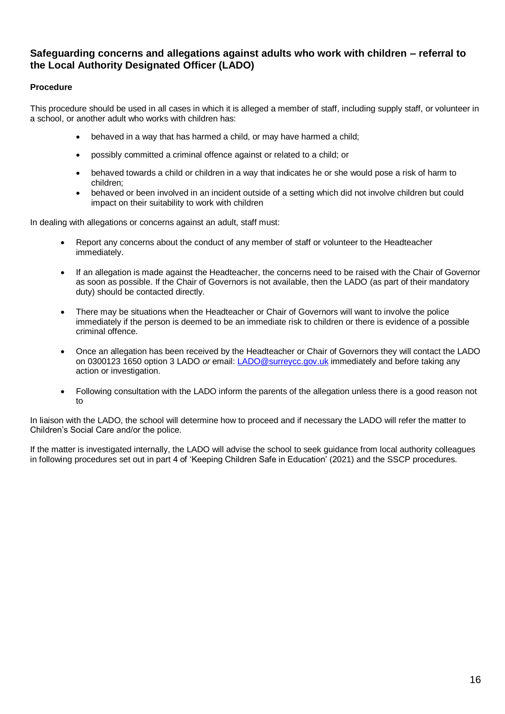### **Safeguarding concerns and allegations against adults who work with children – referral to the Local Authority Designated Officer (LADO)**

#### **Procedure**

This procedure should be used in all cases in which it is alleged a member of staff, including supply staff, or volunteer in a school, or another adult who works with children has:

- behaved in a way that has harmed a child, or may have harmed a child;
- possibly committed a criminal offence against or related to a child; or
- behaved towards a child or children in a way that indicates he or she would pose a risk of harm to children;
- behaved or been involved in an incident outside of a setting which did not involve children but could impact on their suitability to work with children

In dealing with allegations or concerns against an adult, staff must:

- Report any concerns about the conduct of any member of staff or volunteer to the Headteacher immediately.
- If an allegation is made against the Headteacher, the concerns need to be raised with the Chair of Governor as soon as possible. If the Chair of Governors is not available, then the LADO (as part of their mandatory duty) should be contacted directly.
- There may be situations when the Headteacher or Chair of Governors will want to involve the police immediately if the person is deemed to be an immediate risk to children or there is evidence of a possible criminal offence.
- Once an allegation has been received by the Headteacher or Chair of Governors they will contact the LADO on 0300123 1650 option 3 LADO *or* email[: LADO@surreycc.gov.uk](mailto:LADO@surreycc.gov.uk) immediately and before taking any action or investigation.
- Following consultation with the LADO inform the parents of the allegation unless there is a good reason not  $t_0$

In liaison with the LADO, the school will determine how to proceed and if necessary the LADO will refer the matter to Children's Social Care and/or the police.

If the matter is investigated internally, the LADO will advise the school to seek guidance from local authority colleagues in following procedures set out in part 4 of 'Keeping Children Safe in Education' (2021) and the SSCP procedures.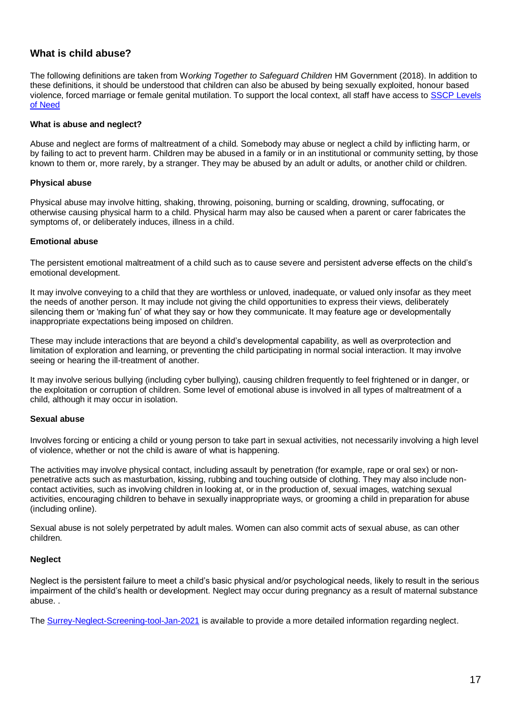### **What is child abuse?**

The following definitions are taken from W*orking Together to Safeguard Children* HM Government (2018). In addition to these definitions, it should be understood that children can also be abused by being sexually exploited, honour based violence, forced marriage or female genital mutilation. To support the local context, all staff have access to [SSCP Levels](https://www.surreyscp.org.uk/about-us/local-safeguarding-arrangements/effective-family-resilience-levels-of-need/)  [of Need](https://www.surreyscp.org.uk/about-us/local-safeguarding-arrangements/effective-family-resilience-levels-of-need/)

#### **What is abuse and neglect?**

Abuse and neglect are forms of maltreatment of a child. Somebody may abuse or neglect a child by inflicting harm, or by failing to act to prevent harm. Children may be abused in a family or in an institutional or community setting, by those known to them or, more rarely, by a stranger. They may be abused by an adult or adults, or another child or children.

#### **Physical abuse**

Physical abuse may involve hitting, shaking, throwing, poisoning, burning or scalding, drowning, suffocating, or otherwise causing physical harm to a child. Physical harm may also be caused when a parent or carer fabricates the symptoms of, or deliberately induces, illness in a child.

#### **Emotional abuse**

The persistent emotional maltreatment of a child such as to cause severe and persistent adverse effects on the child's emotional development.

It may involve conveying to a child that they are worthless or unloved, inadequate, or valued only insofar as they meet the needs of another person. It may include not giving the child opportunities to express their views, deliberately silencing them or 'making fun' of what they say or how they communicate. It may feature age or developmentally inappropriate expectations being imposed on children.

These may include interactions that are beyond a child's developmental capability, as well as overprotection and limitation of exploration and learning, or preventing the child participating in normal social interaction. It may involve seeing or hearing the ill-treatment of another.

It may involve serious bullying (including cyber bullying), causing children frequently to feel frightened or in danger, or the exploitation or corruption of children. Some level of emotional abuse is involved in all types of maltreatment of a child, although it may occur in isolation.

#### **Sexual abuse**

Involves forcing or enticing a child or young person to take part in sexual activities, not necessarily involving a high level of violence, whether or not the child is aware of what is happening.

The activities may involve physical contact, including assault by penetration (for example, rape or oral sex) or nonpenetrative acts such as masturbation, kissing, rubbing and touching outside of clothing. They may also include noncontact activities, such as involving children in looking at, or in the production of, sexual images, watching sexual activities, encouraging children to behave in sexually inappropriate ways, or grooming a child in preparation for abuse (including online).

Sexual abuse is not solely perpetrated by adult males. Women can also commit acts of sexual abuse, as can other children.

#### **Neglect**

Neglect is the persistent failure to meet a child's basic physical and/or psychological needs, likely to result in the serious impairment of the child's health or development. Neglect may occur during pregnancy as a result of maternal substance abuse. .

The [Surrey-Neglect-Screening-tool-Jan-2021](https://www.surreyscp.org.uk/wp-content/uploads/2021/04/Surrey-Neglect-Screening-tool-Jan-2021.pdf) is available to provide a more detailed information regarding neglect.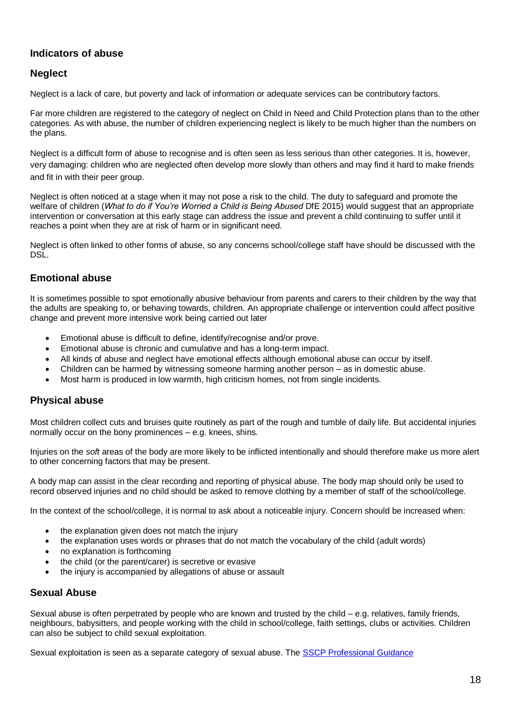# **Indicators of abuse**

### **Neglect**

Neglect is a lack of care, but poverty and lack of information or adequate services can be contributory factors.

Far more children are registered to the category of neglect on Child in Need and Child Protection plans than to the other categories. As with abuse, the number of children experiencing neglect is likely to be much higher than the numbers on the plans.

Neglect is a difficult form of abuse to recognise and is often seen as less serious than other categories. It is, however, very damaging: children who are neglected often develop more slowly than others and may find it hard to make friends and fit in with their peer group.

Neglect is often noticed at a stage when it may not pose a risk to the child. The duty to safeguard and promote the welfare of children (*What to do if You're Worried a Child is Being Abused* DfE 2015) would suggest that an appropriate intervention or conversation at this early stage can address the issue and prevent a child continuing to suffer until it reaches a point when they are at risk of harm or in significant need.

Neglect is often linked to other forms of abuse, so any concerns school/college staff have should be discussed with the DSL.

### **Emotional abuse**

It is sometimes possible to spot emotionally abusive behaviour from parents and carers to their children by the way that the adults are speaking to, or behaving towards, children. An appropriate challenge or intervention could affect positive change and prevent more intensive work being carried out later

- Emotional abuse is difficult to define, identify/recognise and/or prove.
- Emotional abuse is chronic and cumulative and has a long-term impact.
- All kinds of abuse and neglect have emotional effects although emotional abuse can occur by itself.
- Children can be harmed by witnessing someone harming another person as in domestic abuse.
- Most harm is produced in low warmth, high criticism homes, not from single incidents.

#### **Physical abuse**

Most children collect cuts and bruises quite routinely as part of the rough and tumble of daily life. But accidental injuries normally occur on the bony prominences – e.g. knees, shins.

Injuries on the *soft* areas of the body are more likely to be inflicted intentionally and should therefore make us more alert to other concerning factors that may be present.

A body map can assist in the clear recording and reporting of physical abuse. The body map should only be used to record observed injuries and no child should be asked to remove clothing by a member of staff of the school/college.

In the context of the school/college, it is normal to ask about a noticeable injury. Concern should be increased when:

- the explanation given does not match the injury
- the explanation uses words or phrases that do not match the vocabulary of the child (adult words)
- no explanation is forthcoming
- the child (or the parent/carer) is secretive or evasive
- the injury is accompanied by allegations of abuse or assault

#### **Sexual Abuse**

Sexual abuse is often perpetrated by people who are known and trusted by the child – e.g. relatives, family friends, neighbours, babysitters, and people working with the child in school/college, faith settings, clubs or activities. Children can also be subject to child sexual exploitation.

Sexual exploitation is seen as a separate category of sexual abuse. The [SSCP Professional Guidance](https://www.surreyscp.org.uk/professionals-2/)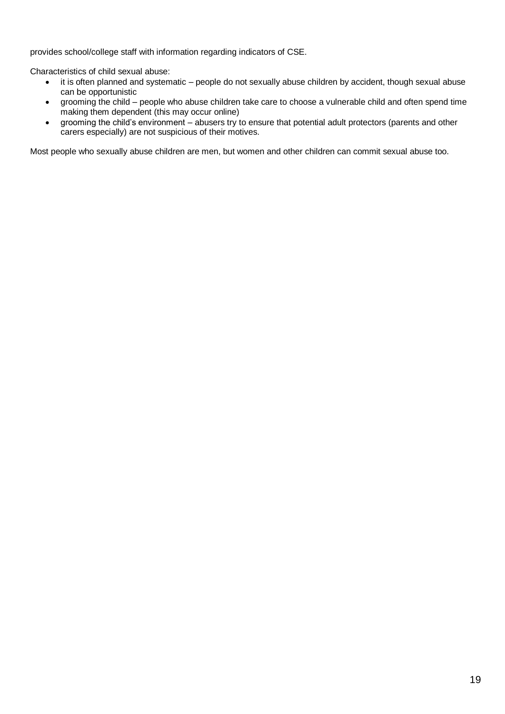provides school/college staff with information regarding indicators of CSE.

Characteristics of child sexual abuse:

- it is often planned and systematic people do not sexually abuse children by accident, though sexual abuse can be opportunistic
- grooming the child people who abuse children take care to choose a vulnerable child and often spend time making them dependent (this may occur online)
- grooming the child's environment abusers try to ensure that potential adult protectors (parents and other carers especially) are not suspicious of their motives.

Most people who sexually abuse children are men, but women and other children can commit sexual abuse too.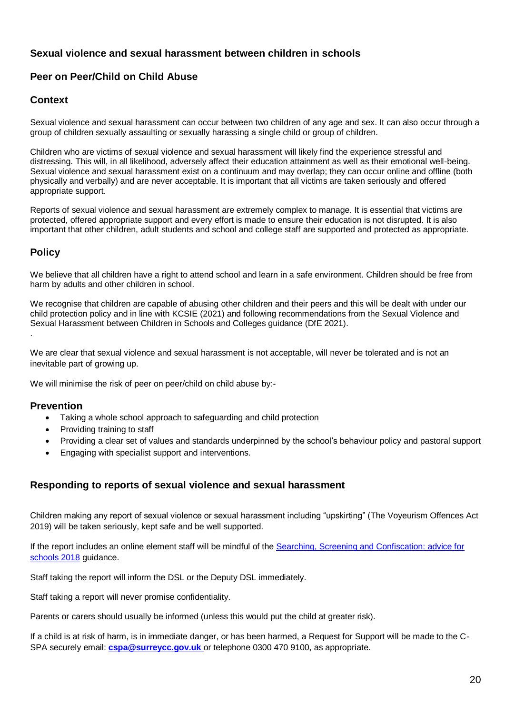### **Sexual violence and sexual harassment between children in schools**

### **Peer on Peer/Child on Child Abuse**

### **Context**

Sexual violence and sexual harassment can occur between two children of any age and sex. It can also occur through a group of children sexually assaulting or sexually harassing a single child or group of children.

Children who are victims of sexual violence and sexual harassment will likely find the experience stressful and distressing. This will, in all likelihood, adversely affect their education attainment as well as their emotional well-being. Sexual violence and sexual harassment exist on a continuum and may overlap; they can occur online and offline (both physically and verbally) and are never acceptable. It is important that all victims are taken seriously and offered appropriate support.

Reports of sexual violence and sexual harassment are extremely complex to manage. It is essential that victims are protected, offered appropriate support and every effort is made to ensure their education is not disrupted. It is also important that other children, adult students and school and college staff are supported and protected as appropriate.

# **Policy**

We believe that all children have a right to attend school and learn in a safe environment. Children should be free from harm by adults and other children in school.

We recognise that children are capable of abusing other children and their peers and this will be dealt with under our child protection policy and in line with KCSIE (2021) and following recommendations from the [Sexual Violence and](https://www.gov.uk/government/publications/sexual-violence-and-sexual-harassment-between-children-in-schools-and-collegesBe)  [Sexual Harassment between Children in Schools and Colleges guidance \(DfE 2021\).](https://www.gov.uk/government/publications/sexual-violence-and-sexual-harassment-between-children-in-schools-and-collegesBe) .

We are clear that sexual violence and sexual harassment is not acceptable, will never be tolerated and is not an inevitable part of growing up.

We will minimise the risk of peer on peer/child on child abuse by:-

#### **Prevention**

- Taking a whole school approach to safeguarding and child protection
- Providing training to staff
- Providing a clear set of values and standards underpinned by the school's behaviour policy and pastoral support
- Engaging with specialist support and interventions.

### **Responding to reports of sexual violence and sexual harassment**

Children making any report of sexual violence or sexual harassment including "upskirting" (The Voyeurism Offences Act 2019) will be taken seriously, kept safe and be well supported.

If the report includes an online element staff will be mindful of the [Searching, Screening and Confiscation: advice for](https://assets.publishing.service.gov.uk/government/uploads/system/uploads/attachment_data/file/674416/Searching_screening_and_confiscation.pdf)  [schools 2018](https://assets.publishing.service.gov.uk/government/uploads/system/uploads/attachment_data/file/674416/Searching_screening_and_confiscation.pdf) guidance.

Staff taking the report will inform the DSL or the Deputy DSL immediately.

Staff taking a report will never promise confidentiality.

Parents or carers should usually be informed (unless this would put the child at greater risk).

If a child is at risk of harm, is in immediate danger, or has been harmed, a Request for Support will be made to the C-SPA securely email: **[cspa@surreycc.gov.uk](mailto:cspa@surreycc.gov.uk)** or telephone 0300 470 9100, as appropriate.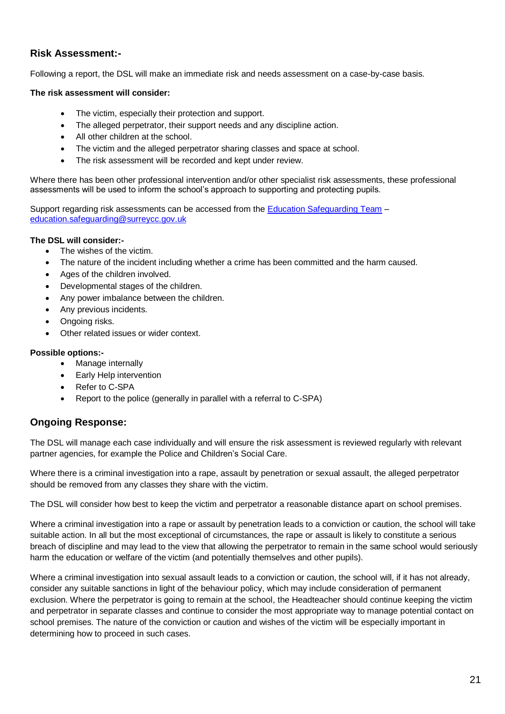### **Risk Assessment:-**

Following a report, the DSL will make an immediate risk and needs assessment on a case-by-case basis.

#### **The risk assessment will consider:**

- The victim, especially their protection and support.
- The alleged perpetrator, their support needs and any discipline action.
- All other children at the school.
- The victim and the alleged perpetrator sharing classes and space at school.
- The risk assessment will be recorded and kept under review.

Where there has been other professional intervention and/or other specialist risk assessments, these professional assessments will be used to inform the school's approach to supporting and protecting pupils.

Support regarding risk assessments can be accessed from the [Education Safeguarding Team](https://www.surreycc.gov.uk/schools-and-learning/teachers-and-education-staff/educational-advice-and-support-for-teachers/education-safeguarding-in-surrey-schools-and-learning) – [education.safeguarding@surreycc.gov.uk](mailto:education.safeguarding@surreycc.gov.uk)

#### **The DSL will consider:-**

- The wishes of the victim.
- The nature of the incident including whether a crime has been committed and the harm caused.
- Ages of the children involved.
- Developmental stages of the children.
- Any power imbalance between the children.
- Any previous incidents.
- Ongoing risks.
- Other related issues or wider context.

#### **Possible options:-**

- Manage internally
- **Early Help intervention**
- Refer to C-SPA
- Report to the police (generally in parallel with a referral to C-SPA)

### **Ongoing Response:**

The DSL will manage each case individually and will ensure the risk assessment is reviewed regularly with relevant partner agencies, for example the Police and Children's Social Care.

Where there is a criminal investigation into a rape, assault by penetration or sexual assault, the alleged perpetrator should be removed from any classes they share with the victim.

The DSL will consider how best to keep the victim and perpetrator a reasonable distance apart on school premises.

Where a criminal investigation into a rape or assault by penetration leads to a conviction or caution, the school will take suitable action. In all but the most exceptional of circumstances, the rape or assault is likely to constitute a serious breach of discipline and may lead to the view that allowing the perpetrator to remain in the same school would seriously harm the education or welfare of the victim (and potentially themselves and other pupils).

Where a criminal investigation into sexual assault leads to a conviction or caution, the school will, if it has not already, consider any suitable sanctions in light of the behaviour policy, which may include consideration of permanent exclusion. Where the perpetrator is going to remain at the school, the Headteacher should continue keeping the victim and perpetrator in separate classes and continue to consider the most appropriate way to manage potential contact on school premises. The nature of the conviction or caution and wishes of the victim will be especially important in determining how to proceed in such cases.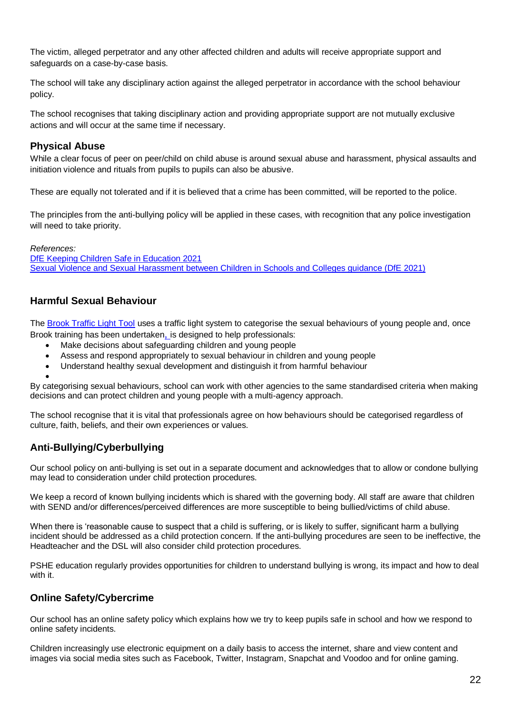The victim, alleged perpetrator and any other affected children and adults will receive appropriate support and safeguards on a case-by-case basis.

The school will take any disciplinary action against the alleged perpetrator in accordance with the school behaviour policy.

The school recognises that taking disciplinary action and providing appropriate support are not mutually exclusive actions and will occur at the same time if necessary.

### **Physical Abuse**

While a clear focus of peer on peer/child on child abuse is around sexual abuse and harassment, physical assaults and initiation violence and rituals from pupils to pupils can also be abusive.

These are equally not tolerated and if it is believed that a crime has been committed, will be reported to the police.

The principles from the anti-bullying policy will be applied in these cases, with recognition that any police investigation will need to take priority.

*References:* [DfE Keeping Children Safe in Education 2021](https://www.gov.uk/government/publications/keeping-children-safe-in-education--2) [Sexual Violence and Sexual Harassment between Children in Schools and Colleges guidance \(DfE 2021\)](https://www.gov.uk/government/publications/sexual-violence-and-sexual-harassment-between-children-in-schools-and-collegesBe)

# **Harmful Sexual Behaviour**

The [Brook Traffic Light Tool](https://www.brook.org.uk/our-work/the-sexual-behaviours-traffic-light-tool) uses a traffic light system to categorise the sexual behaviours of young people and, once Brook training has been undertaken, is designed to help professionals:

- Make decisions about safeguarding children and young people
- Assess and respond appropriately to sexual behaviour in children and young people
- Understand healthy sexual development and distinguish it from harmful behaviour

•

By categorising sexual behaviours, school can work with other agencies to the same standardised criteria when making decisions and can protect children and young people with a multi-agency approach.

The school recognise that it is vital that professionals agree on how behaviours should be categorised regardless of culture, faith, beliefs, and their own experiences or values.

# **Anti-Bullying/Cyberbullying**

Our school policy on anti-bullying is set out in a separate document and acknowledges that to allow or condone bullying may lead to consideration under child protection procedures.

We keep a record of known bullying incidents which is shared with the governing body. All staff are aware that children with SEND and/or differences/perceived differences are more susceptible to being bullied/victims of child abuse.

When there is 'reasonable cause to suspect that a child is suffering, or is likely to suffer, significant harm a bullying incident should be addressed as a child protection concern. If the anti-bullying procedures are seen to be ineffective, the Headteacher and the DSL will also consider child protection procedures.

PSHE education regularly provides opportunities for children to understand bullying is wrong, its impact and how to deal with it.

# **Online Safety/Cybercrime**

Our school has an online safety policy which explains how we try to keep pupils safe in school and how we respond to online safety incidents.

Children increasingly use electronic equipment on a daily basis to access the internet, share and view content and images via social media sites such as Facebook, Twitter, Instagram, Snapchat and Voodoo and for online gaming.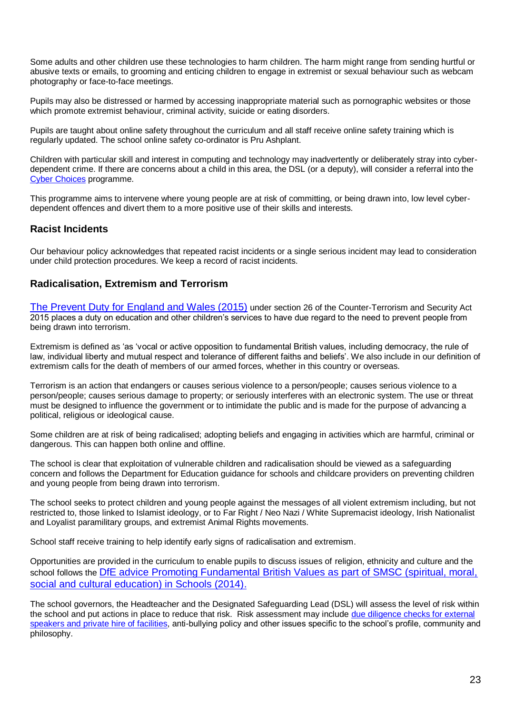Some adults and other children use these technologies to harm children. The harm might range from sending hurtful or abusive texts or emails, to grooming and enticing children to engage in extremist or sexual behaviour such as webcam photography or face-to-face meetings.

Pupils may also be distressed or harmed by accessing inappropriate material such as pornographic websites or those which promote extremist behaviour, criminal activity, suicide or eating disorders.

Pupils are taught about online safety throughout the curriculum and all staff receive online safety training which is regularly updated. The school online safety co-ordinator is Pru Ashplant.

Children with particular skill and interest in computing and technology may inadvertently or deliberately stray into cyberdependent crime. If there are concerns about a child in this area, the DSL (or a deputy), will consider a referral into the [Cyber Choices](http://www.cyberchoices.uk/) programme.

This programme aims to intervene where young people are at risk of committing, or being drawn into, low level cyberdependent offences and divert them to a more positive use of their skills and interests.

### **Racist Incidents**

Our behaviour policy acknowledges that repeated racist incidents or a single serious incident may lead to consideration under child protection procedures. We keep a record of racist incidents.

#### **Radicalisation, Extremism and Terrorism**

[The Prevent Duty for England and Wales \(2015\)](https://www.gov.uk/government/publications/protecting-children-from-radicalisation-the-prevent-duty) under section 26 of the Counter-Terrorism and Security Act 2015 places a duty on education and other children's services to have due regard to the need to prevent people from being drawn into terrorism.

Extremism is defined as 'as 'vocal or active opposition to fundamental British values, including democracy, the rule of law, individual liberty and mutual respect and tolerance of different faiths and beliefs'. We also include in our definition of extremism calls for the death of members of our armed forces, whether in this country or overseas.

Terrorism is an action that endangers or causes serious violence to a person/people; causes serious violence to a person/people; causes serious damage to property; or seriously interferes with an electronic system. The use or threat must be designed to influence the government or to intimidate the public and is made for the purpose of advancing a political, religious or ideological cause.

Some children are at risk of being radicalised; adopting beliefs and engaging in activities which are harmful, criminal or dangerous. This can happen both online and offline.

The school is clear that exploitation of vulnerable children and radicalisation should be viewed as a safeguarding concern and follows the Department for Education guidance for schools and childcare providers on preventing children and young people from being drawn into terrorism.

The school seeks to protect children and young people against the messages of all violent extremism including, but not restricted to, those linked to Islamist ideology, or to Far Right / Neo Nazi / White Supremacist ideology, Irish Nationalist and Loyalist paramilitary groups, and extremist Animal Rights movements.

School staff receive training to help identify early signs of radicalisation and extremism.

Opportunities are provided in the curriculum to enable pupils to discuss issues of religion, ethnicity and culture and the school follows the [DfE advice Promoting Fundamental British Values as part of SMSC \(spiritual, moral,](https://www.gov.uk/government/news/guidance-on-promoting-british-values-in-schools-published)  [social and cultural education\) in Schools \(2014\).](https://www.gov.uk/government/news/guidance-on-promoting-british-values-in-schools-published)

The school governors, the Headteacher and the Designated Safeguarding Lead (DSL) will assess the level of risk within the school and put actions in place to reduce that risk. Risk assessment may include [due diligence checks for external](https://www.surreycc.gov.uk/__data/assets/word_doc/0008/154655/Due-diligence-checks-for-External-Speakers-and-Private-Hire-of-Facilities-January-2018.docx)  [speakers and private hire of facilities,](https://www.surreycc.gov.uk/__data/assets/word_doc/0008/154655/Due-diligence-checks-for-External-Speakers-and-Private-Hire-of-Facilities-January-2018.docx) anti-bullying policy and other issues specific to the school's profile, community and philosophy.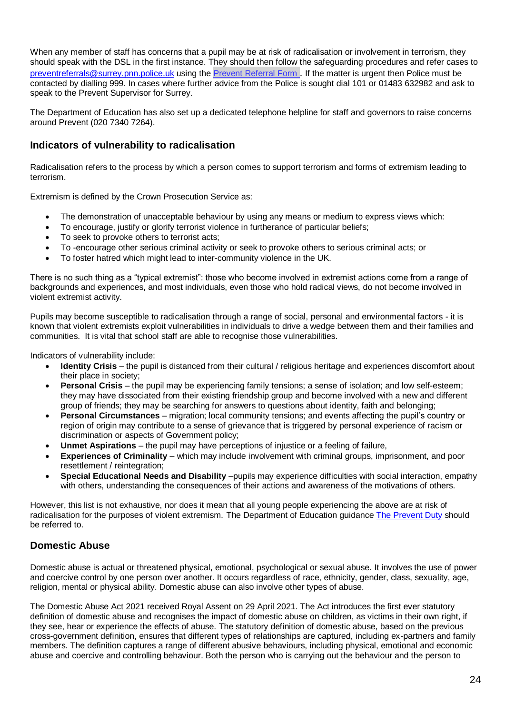When any member of staff has concerns that a pupil may be at risk of radicalisation or involvement in terrorism, they should speak with the DSL in the first instance. They should then follow the safeguarding procedures and refer cases to [preventreferrals@surrey.pnn.police.uk](mailto:preventreferrals@surrey.pnn.police.uk) using the [Prevent Referral Form](https://www.healthysurrey.org.uk/__data/assets/word_doc/0007/196432/Prevent-National-Referral-Form-V3-New-Surrey-version.docx) . If the matter is urgent then Police must be contacted by dialling 999. In cases where further advice from the Police is sought dial 101 or 01483 632982 and ask to speak to the Prevent Supervisor for Surrey.

The Department of Education has also set up a dedicated telephone helpline for staff and governors to raise concerns around Prevent (020 7340 7264).

### **Indicators of vulnerability to radicalisation**

Radicalisation refers to the process by which a person comes to support terrorism and forms of extremism leading to terrorism.

Extremism is defined by the Crown Prosecution Service as:

- The demonstration of unacceptable behaviour by using any means or medium to express views which:
- To encourage, justify or glorify terrorist violence in furtherance of particular beliefs;
- To seek to provoke others to terrorist acts;
- To -encourage other serious criminal activity or seek to provoke others to serious criminal acts; or
- To foster hatred which might lead to inter-community violence in the UK.

There is no such thing as a "typical extremist": those who become involved in extremist actions come from a range of backgrounds and experiences, and most individuals, even those who hold radical views, do not become involved in violent extremist activity.

Pupils may become susceptible to radicalisation through a range of social, personal and environmental factors - it is known that violent extremists exploit vulnerabilities in individuals to drive a wedge between them and their families and communities. It is vital that school staff are able to recognise those vulnerabilities.

Indicators of vulnerability include:

- **Identity Crisis** the pupil is distanced from their cultural / religious heritage and experiences discomfort about their place in society;
- **Personal Crisis** the pupil may be experiencing family tensions; a sense of isolation; and low self-esteem; they may have dissociated from their existing friendship group and become involved with a new and different group of friends; they may be searching for answers to questions about identity, faith and belonging;
- **Personal Circumstances** migration; local community tensions; and events affecting the pupil's country or region of origin may contribute to a sense of grievance that is triggered by personal experience of racism or discrimination or aspects of Government policy;
- **Unmet Aspirations** the pupil may have perceptions of injustice or a feeling of failure,
- **Experiences of Criminality** which may include involvement with criminal groups, imprisonment, and poor resettlement / reintegration;
- **Special Educational Needs and Disability** –pupils may experience difficulties with social interaction, empathy with others, understanding the consequences of their actions and awareness of the motivations of others.

However, this list is not exhaustive, nor does it mean that all young people experiencing the above are at risk of radicalisation for the purposes of violent extremism. The Department of Education guidanc[e The Prevent Duty](https://www.gov.uk/government/publications/protecting-children-from-radicalisation-the-prevent-duty) should be referred to.

# **Domestic Abuse**

Domestic abuse is actual or threatened physical, emotional, psychological or sexual abuse. It involves the use of power and coercive control by one person over another. It occurs regardless of race, ethnicity, gender, class, sexuality, age, religion, mental or physical ability. Domestic abuse can also involve other types of abuse.

The Domestic Abuse Act 2021 received Royal Assent on 29 April 2021. The Act introduces the first ever statutory definition of domestic abuse and recognises the impact of domestic abuse on children, as victims in their own right, if they see, hear or experience the effects of abuse. The statutory definition of domestic abuse, based on the previous cross-government definition, ensures that different types of relationships are captured, including ex-partners and family members. The definition captures a range of different abusive behaviours, including physical, emotional and economic abuse and coercive and controlling behaviour. Both the person who is carrying out the behaviour and the person to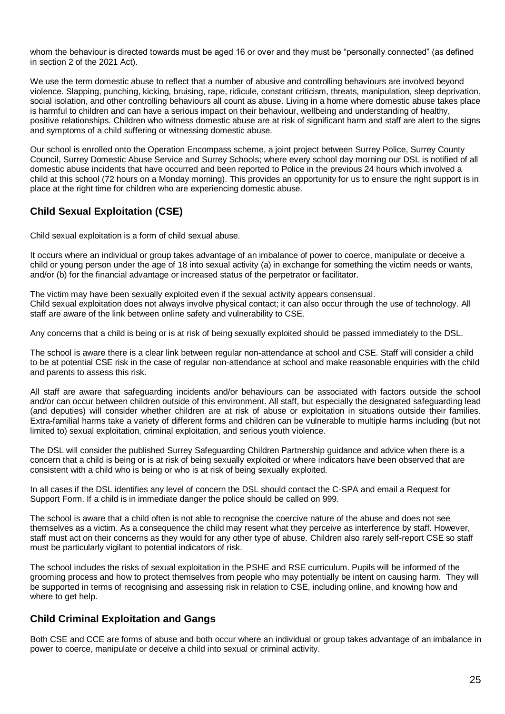whom the behaviour is directed towards must be aged 16 or over and they must be "personally connected" (as defined in section 2 of the 2021 Act).

We use the term domestic abuse to reflect that a number of abusive and controlling behaviours are involved beyond violence. Slapping, punching, kicking, bruising, rape, ridicule, constant criticism, threats, manipulation, sleep deprivation, social isolation, and other controlling behaviours all count as abuse. Living in a home where domestic abuse takes place is harmful to children and can have a serious impact on their behaviour, wellbeing and understanding of healthy, positive relationships. Children who witness domestic abuse are at risk of significant harm and staff are alert to the signs and symptoms of a child suffering or witnessing domestic abuse.

Our school is enrolled onto the Operation Encompass scheme, a joint project between Surrey Police, Surrey County Council, Surrey Domestic Abuse Service and Surrey Schools; where every school day morning our DSL is notified of all domestic abuse incidents that have occurred and been reported to Police in the previous 24 hours which involved a child at this school (72 hours on a Monday morning). This provides an opportunity for us to ensure the right support is in place at the right time for children who are experiencing domestic abuse.

# **Child Sexual Exploitation (CSE)**

Child sexual exploitation is a form of child sexual abuse.

It occurs where an individual or group takes advantage of an imbalance of power to coerce, manipulate or deceive a child or young person under the age of 18 into sexual activity (a) in exchange for something the victim needs or wants, and/or (b) for the financial advantage or increased status of the perpetrator or facilitator.

The victim may have been sexually exploited even if the sexual activity appears consensual. Child sexual exploitation does not always involve physical contact; it can also occur through the use of technology. All staff are aware of the link between online safety and vulnerability to CSE.

Any concerns that a child is being or is at risk of being sexually exploited should be passed immediately to the DSL.

The school is aware there is a clear link between regular non-attendance at school and CSE. Staff will consider a child to be at potential CSE risk in the case of regular non-attendance at school and make reasonable enquiries with the child and parents to assess this risk.

All staff are aware that safeguarding incidents and/or behaviours can be associated with factors outside the school and/or can occur between children outside of this environment. All staff, but especially the designated safeguarding lead (and deputies) will consider whether children are at risk of abuse or exploitation in situations outside their families. Extra-familial harms take a variety of different forms and children can be vulnerable to multiple harms including (but not limited to) sexual exploitation, criminal exploitation, and serious youth violence.

The DSL will consider the published Surrey Safeguarding Children Partnership guidance and advice when there is a concern that a child is being or is at risk of being sexually exploited or where indicators have been observed that are consistent with a child who is being or who is at risk of being sexually exploited.

In all cases if the DSL identifies any level of concern the DSL should contact the C-SPA and email a Request for Support Form. If a child is in immediate danger the police should be called on 999.

The school is aware that a child often is not able to recognise the coercive nature of the abuse and does not see themselves as a victim. As a consequence the child may resent what they perceive as interference by staff. However, staff must act on their concerns as they would for any other type of abuse. Children also rarely self-report CSE so staff must be particularly vigilant to potential indicators of risk.

The school includes the risks of sexual exploitation in the PSHE and RSE curriculum. Pupils will be informed of the grooming process and how to protect themselves from people who may potentially be intent on causing harm. They will be supported in terms of recognising and assessing risk in relation to CSE, including online, and knowing how and where to get help.

# **Child Criminal Exploitation and Gangs**

Both CSE and CCE are forms of abuse and both occur where an individual or group takes advantage of an imbalance in power to coerce, manipulate or deceive a child into sexual or criminal activity.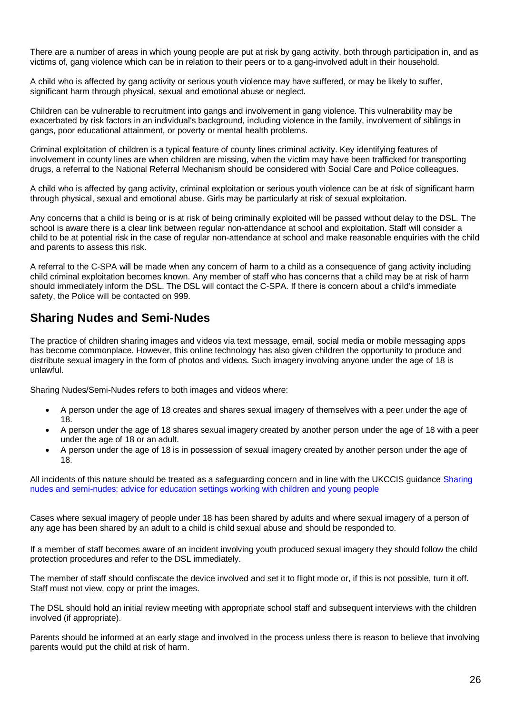There are a number of areas in which young people are put at risk by gang activity, both through participation in, and as victims of, gang violence which can be in relation to their peers or to a gang-involved adult in their household.

A child who is affected by gang activity or serious youth violence may have suffered, or may be likely to suffer, significant harm through physical, sexual and emotional abuse or neglect.

Children can be vulnerable to recruitment into gangs and involvement in gang violence. This vulnerability may be exacerbated by risk factors in an individual's background, including violence in the family, involvement of siblings in gangs, poor educational attainment, or poverty or mental health problems.

Criminal exploitation of children is a typical feature of county lines criminal activity. Key identifying features of involvement in county lines are when children are missing, when the victim may have been trafficked for transporting drugs, a referral to the National Referral Mechanism should be considered with Social Care and Police colleagues.

A child who is affected by gang activity, criminal exploitation or serious youth violence can be at risk of significant harm through physical, sexual and emotional abuse. Girls may be particularly at risk of sexual exploitation.

Any concerns that a child is being or is at risk of being criminally exploited will be passed without delay to the DSL. The school is aware there is a clear link between regular non-attendance at school and exploitation. Staff will consider a child to be at potential risk in the case of regular non-attendance at school and make reasonable enquiries with the child and parents to assess this risk.

A referral to the C-SPA will be made when any concern of harm to a child as a consequence of gang activity including child criminal exploitation becomes known. Any member of staff who has concerns that a child may be at risk of harm should immediately inform the DSL. The DSL will contact the C-SPA. If there is concern about a child's immediate safety, the Police will be contacted on 999.

# **Sharing Nudes and Semi-Nudes**

The practice of children sharing images and videos via text message, email, social media or mobile messaging apps has become commonplace. However, this online technology has also given children the opportunity to produce and distribute sexual imagery in the form of photos and videos. Such imagery involving anyone under the age of 18 is unlawful.

Sharing Nudes/Semi-Nudes refers to both images and videos where:

- A person under the age of 18 creates and shares sexual imagery of themselves with a peer under the age of 18.
- A person under the age of 18 shares sexual imagery created by another person under the age of 18 with a peer under the age of 18 or an adult.
- A person under the age of 18 is in possession of sexual imagery created by another person under the age of 18.

All incidents of this nature should be treated as a safeguarding concern and in line with the UKCCIS guidance [Sharing](https://www.gov.uk/government/publications/sharing-nudes-and-semi-nudes-advice-for-education-settings-working-with-children-and-young-people/sharing-nudes-and-semi-nudes-advice-for-education-settings-working-with-children-and-young-people)  [nudes and semi-nudes: advice for education settings working with children and young people](https://www.gov.uk/government/publications/sharing-nudes-and-semi-nudes-advice-for-education-settings-working-with-children-and-young-people/sharing-nudes-and-semi-nudes-advice-for-education-settings-working-with-children-and-young-people)

Cases where sexual imagery of people under 18 has been shared by adults and where sexual imagery of a person of any age has been shared by an adult to a child is child sexual abuse and should be responded to.

If a member of staff becomes aware of an incident involving youth produced sexual imagery they should follow the child protection procedures and refer to the DSL immediately.

The member of staff should confiscate the device involved and set it to flight mode or, if this is not possible, turn it off. Staff must not view, copy or print the images.

The DSL should hold an initial review meeting with appropriate school staff and subsequent interviews with the children involved (if appropriate).

Parents should be informed at an early stage and involved in the process unless there is reason to believe that involving parents would put the child at risk of harm.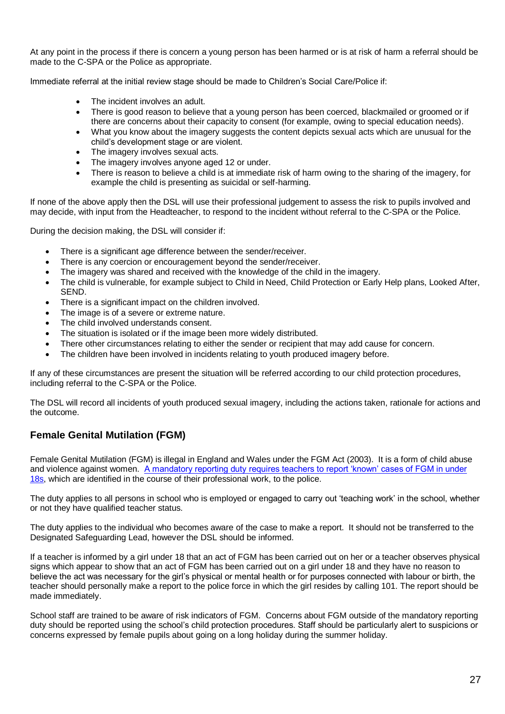At any point in the process if there is concern a young person has been harmed or is at risk of harm a referral should be made to the C-SPA or the Police as appropriate.

Immediate referral at the initial review stage should be made to Children's Social Care/Police if:

- The incident involves an adult.
- There is good reason to believe that a young person has been coerced, blackmailed or groomed or if there are concerns about their capacity to consent (for example, owing to special education needs).
- What you know about the imagery suggests the content depicts sexual acts which are unusual for the child's development stage or are violent.
- The imagery involves sexual acts.
- The imagery involves anyone aged 12 or under.
- There is reason to believe a child is at immediate risk of harm owing to the sharing of the imagery, for example the child is presenting as suicidal or self-harming.

If none of the above apply then the DSL will use their professional judgement to assess the risk to pupils involved and may decide, with input from the Headteacher, to respond to the incident without referral to the C-SPA or the Police.

During the decision making, the DSL will consider if:

- There is a significant age difference between the sender/receiver.
- There is any coercion or encouragement beyond the sender/receiver.
- The imagery was shared and received with the knowledge of the child in the imagery.
- The child is vulnerable, for example subject to Child in Need, Child Protection or Early Help plans, Looked After, SEND.
- There is a significant impact on the children involved.
- The image is of a severe or extreme nature.
- The child involved understands consent.
- The situation is isolated or if the image been more widely distributed.
- There other circumstances relating to either the sender or recipient that may add cause for concern.
- The children have been involved in incidents relating to youth produced imagery before.

If any of these circumstances are present the situation will be referred according to our child protection procedures, including referral to the C-SPA or the Police.

The DSL will record all incidents of youth produced sexual imagery, including the actions taken, rationale for actions and the outcome.

# **Female Genital Mutilation (FGM)**

Female Genital Mutilation (FGM) is illegal in England and Wales under the FGM Act (2003). It is a form of child abuse and violence against women. [A mandatory reporting duty requires teachers to report 'known' cases of FGM in under](https://www.gov.uk/government/publications/mandatory-reporting-of-female-genital-mutilation-procedural-information)  [18s,](https://www.gov.uk/government/publications/mandatory-reporting-of-female-genital-mutilation-procedural-information) which are identified in the course of their professional work, to the police.

The duty applies to all persons in school who is employed or engaged to carry out 'teaching work' in the school, whether or not they have qualified teacher status.

The duty applies to the individual who becomes aware of the case to make a report. It should not be transferred to the Designated Safeguarding Lead, however the DSL should be informed.

If a teacher is informed by a girl under 18 that an act of FGM has been carried out on her or a teacher observes physical signs which appear to show that an act of FGM has been carried out on a girl under 18 and they have no reason to believe the act was necessary for the girl's physical or mental health or for purposes connected with labour or birth, the teacher should personally make a report to the police force in which the girl resides by calling 101. The report should be made immediately.

School staff are trained to be aware of risk indicators of FGM. Concerns about FGM outside of the mandatory reporting duty should be reported using the school's child protection procedures. Staff should be particularly alert to suspicions or concerns expressed by female pupils about going on a long holiday during the summer holiday.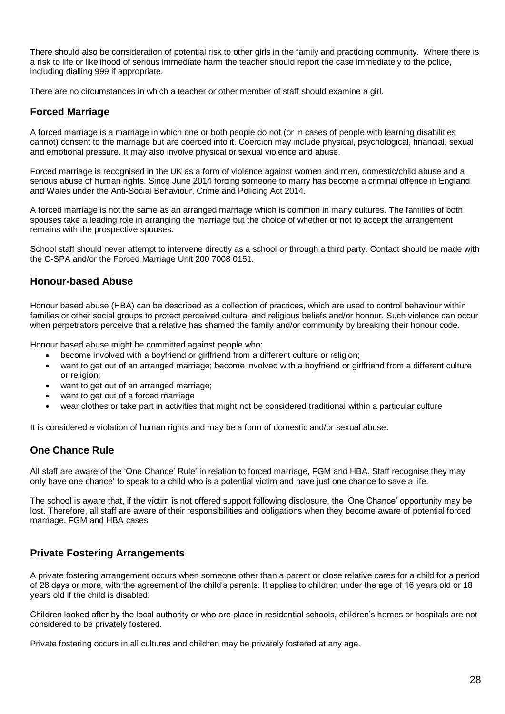There should also be consideration of potential risk to other girls in the family and practicing community. Where there is a risk to life or likelihood of serious immediate harm the teacher should report the case immediately to the police, including dialling 999 if appropriate.

There are no circumstances in which a teacher or other member of staff should examine a girl.

### **Forced Marriage**

A forced marriage is a marriage in which one or both people do not (or in cases of people with learning disabilities cannot) consent to the marriage but are coerced into it. Coercion may include physical, psychological, financial, sexual and emotional pressure. It may also involve physical or sexual violence and abuse.

Forced marriage is recognised in the UK as a form of violence against women and men, domestic/child abuse and a serious abuse of human rights. Since June 2014 forcing someone to marry has become a criminal offence in England and Wales under the Anti-Social Behaviour, Crime and Policing Act 2014.

A forced marriage is not the same as an arranged marriage which is common in many cultures. The families of both spouses take a leading role in arranging the marriage but the choice of whether or not to accept the arrangement remains with the prospective spouses.

School staff should never attempt to intervene directly as a school or through a third party. Contact should be made with the C-SPA and/or the Forced Marriage Unit 200 7008 0151.

### **Honour-based Abuse**

Honour based abuse (HBA) can be described as a collection of practices, which are used to control behaviour within families or other social groups to protect perceived cultural and religious beliefs and/or honour. Such violence can occur when perpetrators perceive that a relative has shamed the family and/or community by breaking their honour code.

Honour based abuse might be committed against people who:

- become involved with a boyfriend or girlfriend from a different culture or religion;
- want to get out of an arranged marriage; become involved with a boyfriend or girlfriend from a different culture or religion;
- want to get out of an arranged marriage:
- want to get out of a forced marriage
- wear clothes or take part in activities that might not be considered traditional within a particular culture

It is considered a violation of human rights and may be a form of domestic and/or sexual abuse.

### **One Chance Rule**

All staff are aware of the 'One Chance' Rule' in relation to forced marriage, FGM and HBA. Staff recognise they may only have one chance' to speak to a child who is a potential victim and have just one chance to save a life.

The school is aware that, if the victim is not offered support following disclosure, the 'One Chance' opportunity may be lost. Therefore, all staff are aware of their responsibilities and obligations when they become aware of potential forced marriage, FGM and HBA cases.

# **Private Fostering Arrangements**

A private fostering arrangement occurs when someone other than a parent or close relative cares for a child for a period of 28 days or more, with the agreement of the child's parents. It applies to children under the age of 16 years old or 18 years old if the child is disabled.

Children looked after by the local authority or who are place in residential schools, children's homes or hospitals are not considered to be privately fostered.

Private fostering occurs in all cultures and children may be privately fostered at any age.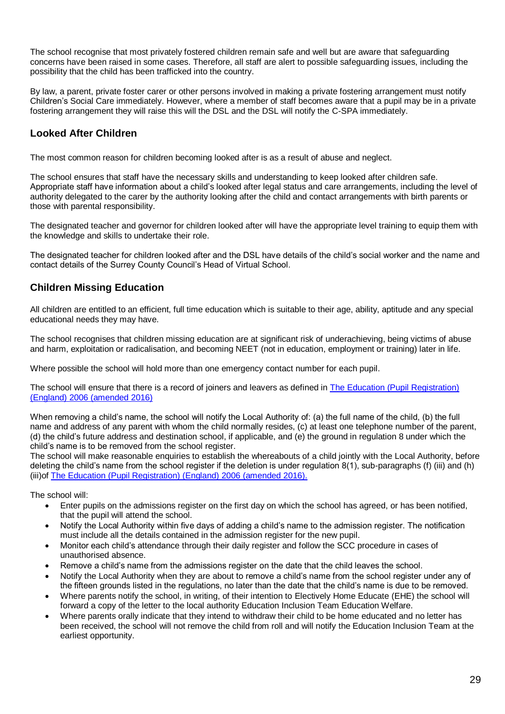The school recognise that most privately fostered children remain safe and well but are aware that safeguarding concerns have been raised in some cases. Therefore, all staff are alert to possible safeguarding issues, including the possibility that the child has been trafficked into the country.

By law, a parent, private foster carer or other persons involved in making a private fostering arrangement must notify Children's Social Care immediately. However, where a member of staff becomes aware that a pupil may be in a private fostering arrangement they will raise this will the DSL and the DSL will notify the C-SPA immediately.

# **Looked After Children**

The most common reason for children becoming looked after is as a result of abuse and neglect.

The school ensures that staff have the necessary skills and understanding to keep looked after children safe. Appropriate staff have information about a child's looked after legal status and care arrangements, including the level of authority delegated to the carer by the authority looking after the child and contact arrangements with birth parents or those with parental responsibility.

The designated teacher and governor for children looked after will have the appropriate level training to equip them with the knowledge and skills to undertake their role.

The designated teacher for children looked after and the DSL have details of the child's social worker and the name and contact details of the Surrey County Council's Head of Virtual School.

# **Children Missing Education**

All children are entitled to an efficient, full time education which is suitable to their age, ability, aptitude and any special educational needs they may have.

The school recognises that children missing education are at significant risk of underachieving, being victims of abuse and harm, exploitation or radicalisation, and becoming NEET (not in education, employment or training) later in life.

Where possible the school will hold more than one emergency contact number for each pupil.

The school will ensure that there is a record of joiners and leavers as defined in [The Education \(Pupil Registration\)](https://www.kelsi.org.uk/news-and-events/news/primary/changes-to-the-education-pupil-registration-england-regulations-2006)  [\(England\) 2006 \(amended 2016\)](https://www.kelsi.org.uk/news-and-events/news/primary/changes-to-the-education-pupil-registration-england-regulations-2006)

When removing a child's name, the school will notify the Local Authority of: (a) the full name of the child, (b) the full name and address of any parent with whom the child normally resides, (c) at least one telephone number of the parent, (d) the child's future address and destination school, if applicable, and (e) the ground in regulation 8 under which the child's name is to be removed from the school register.

The school will make reasonable enquiries to establish the whereabouts of a child jointly with the Local Authority, before deleting the child's name from the school register if the deletion is under regulation 8(1), sub-paragraphs (f) (iii) and (h) (iii)of [The Education \(Pupil Registration\) \(England\) 2006](https://www.kelsi.org.uk/news-and-events/news/primary/changes-to-the-education-pupil-registration-england-regulations-2006) (amended 2016).

The school will:

- Enter pupils on the admissions register on the first day on which the school has agreed, or has been notified, that the pupil will attend the school.
- Notify the Local Authority within five days of adding a child's name to the admission register. The notification must include all the details contained in the admission register for the new pupil.
- Monitor each child's attendance through their daily register and follow the SCC procedure in cases of unauthorised absence.
- Remove a child's name from the admissions register on the date that the child leaves the school.
- Notify the Local Authority when they are about to remove a child's name from the school register under any of the fifteen grounds listed in the regulations, no later than the date that the child's name is due to be removed.
- Where parents notify the school, in writing, of their intention to Electively Home Educate (EHE) the school will forward a copy of the letter to the local authority Education Inclusion Team Education Welfare.
- Where parents orally indicate that they intend to withdraw their child to be home educated and no letter has been received, the school will not remove the child from roll and will notify the Education Inclusion Team at the earliest opportunity.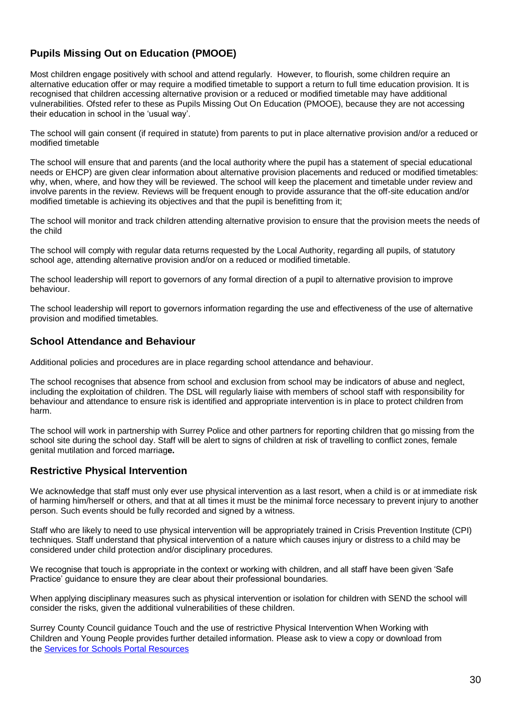# **Pupils Missing Out on Education (PMOOE)**

Most children engage positively with school and attend regularly. However, to flourish, some children require an alternative education offer or may require a modified timetable to support a return to full time education provision. It is recognised that children accessing alternative provision or a reduced or modified timetable may have additional vulnerabilities. Ofsted refer to these as Pupils Missing Out On Education (PMOOE), because they are not accessing their education in school in the 'usual way'.

The school will gain consent (if required in statute) from parents to put in place alternative provision and/or a reduced or modified timetable

The school will ensure that and parents (and the local authority where the pupil has a statement of special educational needs or EHCP) are given clear information about alternative provision placements and reduced or modified timetables: why, when, where, and how they will be reviewed. The school will keep the placement and timetable under review and involve parents in the review. Reviews will be frequent enough to provide assurance that the off-site education and/or modified timetable is achieving its objectives and that the pupil is benefitting from it;

The school will monitor and track children attending alternative provision to ensure that the provision meets the needs of the child

The school will comply with regular data returns requested by the Local Authority, regarding all pupils, of statutory school age, attending alternative provision and/or on a reduced or modified timetable.

The school leadership will report to governors of any formal direction of a pupil to alternative provision to improve behaviour.

The school leadership will report to governors information regarding the use and effectiveness of the use of alternative provision and modified timetables.

### **School Attendance and Behaviour**

Additional policies and procedures are in place regarding school attendance and behaviour.

The school recognises that absence from school and exclusion from school may be indicators of abuse and neglect, including the exploitation of children. The DSL will regularly liaise with members of school staff with responsibility for behaviour and attendance to ensure risk is identified and appropriate intervention is in place to protect children from harm.

The school will work in partnership with Surrey Police and other partners for reporting children that go missing from the school site during the school day. Staff will be alert to signs of children at risk of travelling to conflict zones, female genital mutilation and forced marriag**e.**

### **Restrictive Physical Intervention**

We acknowledge that staff must only ever use physical intervention as a last resort, when a child is or at immediate risk of harming him/herself or others, and that at all times it must be the minimal force necessary to prevent injury to another person. Such events should be fully recorded and signed by a witness.

Staff who are likely to need to use physical intervention will be appropriately trained in Crisis Prevention Institute (CPI) techniques. Staff understand that physical intervention of a nature which causes injury or distress to a child may be considered under child protection and/or disciplinary procedures.

We recognise that touch is appropriate in the context or working with children, and all staff have been given 'Safe Practice' guidance to ensure they are clear about their professional boundaries.

When applying disciplinary measures such as physical intervention or isolation for children with SEND the school will consider the risks, given the additional vulnerabilities of these children.

Surrey County Council guidance Touch and the use of restrictive Physical Intervention When Working with Children and Young People provides further detailed information. Please ask to view a copy or download from the [Services for Schools Portal Resources](https://servicesforschools.surreycc.gov.uk/)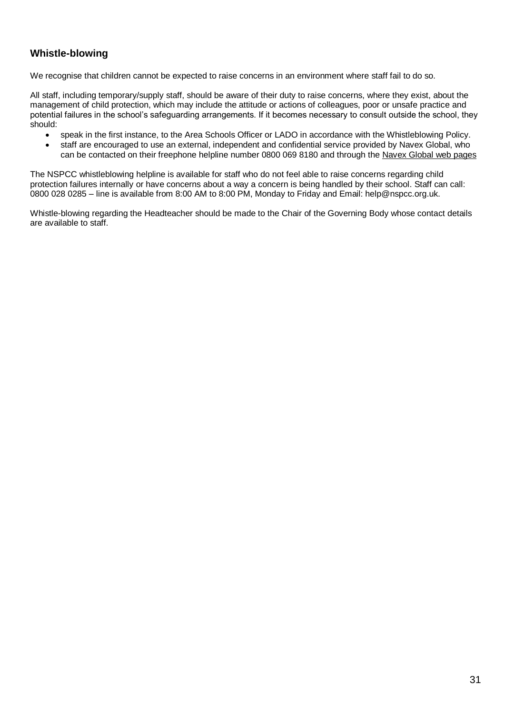# **Whistle-blowing**

We recognise that children cannot be expected to raise concerns in an environment where staff fail to do so.

All staff, including temporary/supply staff, should be aware of their duty to raise concerns, where they exist, about the management of child protection, which may include the attitude or actions of colleagues, poor or unsafe practice and potential failures in the school's safeguarding arrangements. If it becomes necessary to consult outside the school, they should:

- speak in the first instance, to the Area Schools Officer or LADO in accordance with the Whistleblowing Policy.
- staff are encouraged to use an external, independent and confidential service provided by Navex Global, who can be contacted on their freephone helpline number 0800 069 8180 and through the [Navex Global web pages](https://secure.ethicspoint.eu/domain/media/en/gui/107090/index.html)

The NSPCC whistleblowing helpline is available for staff who do not feel able to raise concerns regarding child protection failures internally or have concerns about a way a concern is being handled by their school. Staff can call: 0800 028 0285 – line is available from 8:00 AM to 8:00 PM, Monday to Friday and Email: help@nspcc.org.uk.

Whistle-blowing regarding the Headteacher should be made to the Chair of the Governing Body whose contact details are available to staff.